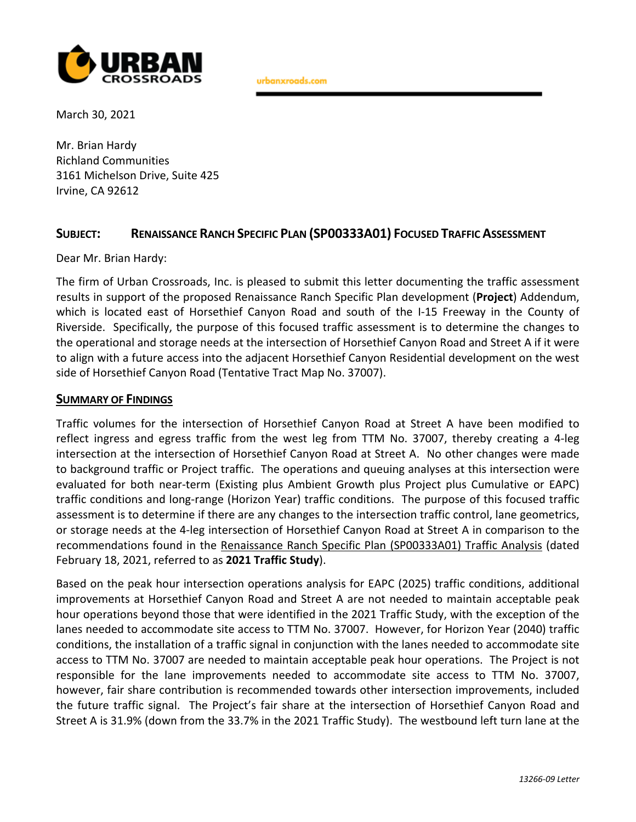

urbanxroads.com

March 30, 2021

Mr. Brian Hardy Richland Communities 3161 Michelson Drive, Suite 425 Irvine, CA 92612

## **SUBJECT: RENAISSANCE RANCH SPECIFIC PLAN (SP00333A01) FOCUSED TRAFFIC ASSESSMENT**

Dear Mr. Brian Hardy:

The firm of Urban Crossroads, Inc. is pleased to submit this letter documenting the traffic assessment results in support of the proposed Renaissance Ranch Specific Plan development (**Project**) Addendum, which is located east of Horsethief Canyon Road and south of the I-15 Freeway in the County of Riverside. Specifically, the purpose of this focused traffic assessment is to determine the changes to the operational and storage needs at the intersection of Horsethief Canyon Road and Street A if it were to align with a future access into the adjacent Horsethief Canyon Residential development on the west side of Horsethief Canyon Road (Tentative Tract Map No. 37007).

### **SUMMARY OF FINDINGS**

Traffic volumes for the intersection of Horsethief Canyon Road at Street A have been modified to reflect ingress and egress traffic from the west leg from TTM No. 37007, thereby creating a 4-leg intersection at the intersection of Horsethief Canyon Road at Street A. No other changes were made to background traffic or Project traffic. The operations and queuing analyses at this intersection were evaluated for both near-term (Existing plus Ambient Growth plus Project plus Cumulative or EAPC) traffic conditions and long-range (Horizon Year) traffic conditions. The purpose of this focused traffic assessment is to determine if there are any changes to the intersection traffic control, lane geometrics, or storage needs at the 4-leg intersection of Horsethief Canyon Road at Street A in comparison to the recommendations found in the Renaissance Ranch Specific Plan (SP00333A01) Traffic Analysis (dated February 18, 2021, referred to as **2021 Traffic Study**).

Based on the peak hour intersection operations analysis for EAPC (2025) traffic conditions, additional improvements at Horsethief Canyon Road and Street A are not needed to maintain acceptable peak hour operations beyond those that were identified in the 2021 Traffic Study, with the exception of the lanes needed to accommodate site access to TTM No. 37007. However, for Horizon Year (2040) traffic conditions, the installation of a traffic signal in conjunction with the lanes needed to accommodate site access to TTM No. 37007 are needed to maintain acceptable peak hour operations. The Project is not responsible for the lane improvements needed to accommodate site access to TTM No. 37007, however, fair share contribution is recommended towards other intersection improvements, included the future traffic signal. The Project's fair share at the intersection of Horsethief Canyon Road and Street A is 31.9% (down from the 33.7% in the 2021 Traffic Study). The westbound left turn lane at the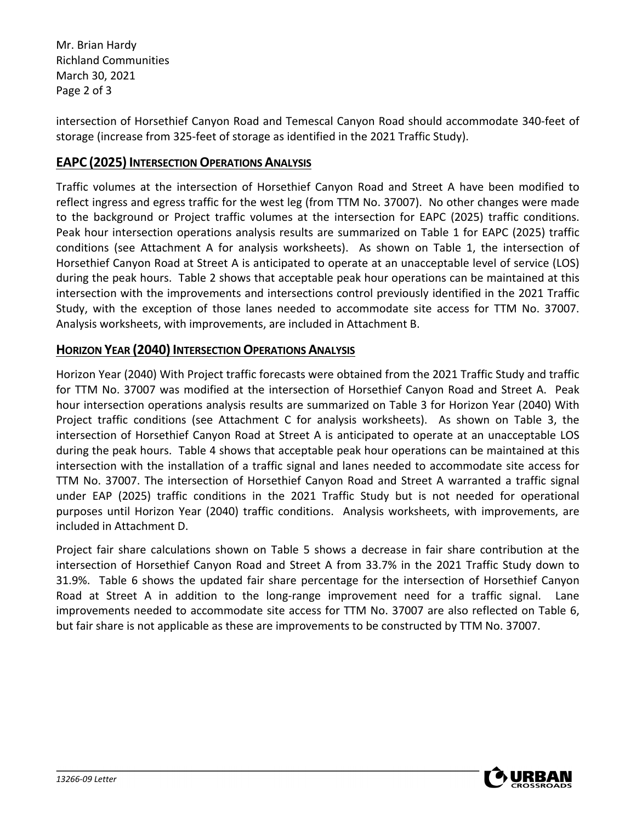Mr. Brian Hardy Richland Communities March 30, 2021 Page 2 of 3

intersection of Horsethief Canyon Road and Temescal Canyon Road should accommodate 340-feet of storage (increase from 325-feet of storage as identified in the 2021 Traffic Study).

## **EAPC** (2025) **INTERSECTION OPERATIONS ANALYSIS**

Traffic volumes at the intersection of Horsethief Canyon Road and Street A have been modified to reflect ingress and egress traffic for the west leg (from TTM No. 37007). No other changes were made to the background or Project traffic volumes at the intersection for EAPC (2025) traffic conditions. Peak hour intersection operations analysis results are summarized on Table 1 for EAPC (2025) traffic conditions (see Attachment A for analysis worksheets). As shown on Table 1, the intersection of Horsethief Canyon Road at Street A is anticipated to operate at an unacceptable level of service (LOS) during the peak hours. Table 2 shows that acceptable peak hour operations can be maintained at this intersection with the improvements and intersections control previously identified in the 2021 Traffic Study, with the exception of those lanes needed to accommodate site access for TTM No. 37007. Analysis worksheets, with improvements, are included in Attachment B.

## **HORIZON YEAR (2040) INTERSECTION OPERATIONS ANALYSIS**

Horizon Year (2040) With Project traffic forecasts were obtained from the 2021 Traffic Study and traffic for TTM No. 37007 was modified at the intersection of Horsethief Canyon Road and Street A. Peak hour intersection operations analysis results are summarized on Table 3 for Horizon Year (2040) With Project traffic conditions (see Attachment C for analysis worksheets). As shown on Table 3, the intersection of Horsethief Canyon Road at Street A is anticipated to operate at an unacceptable LOS during the peak hours. Table 4 shows that acceptable peak hour operations can be maintained at this intersection with the installation of a traffic signal and lanes needed to accommodate site access for TTM No. 37007. The intersection of Horsethief Canyon Road and Street A warranted a traffic signal under EAP (2025) traffic conditions in the 2021 Traffic Study but is not needed for operational purposes until Horizon Year (2040) traffic conditions. Analysis worksheets, with improvements, are included in Attachment D.

Project fair share calculations shown on Table 5 shows a decrease in fair share contribution at the intersection of Horsethief Canyon Road and Street A from 33.7% in the 2021 Traffic Study down to 31.9%. Table 6 shows the updated fair share percentage for the intersection of Horsethief Canyon Road at Street A in addition to the long-range improvement need for a traffic signal. Lane improvements needed to accommodate site access for TTM No. 37007 are also reflected on Table 6, but fair share is not applicable as these are improvements to be constructed by TTM No. 37007.

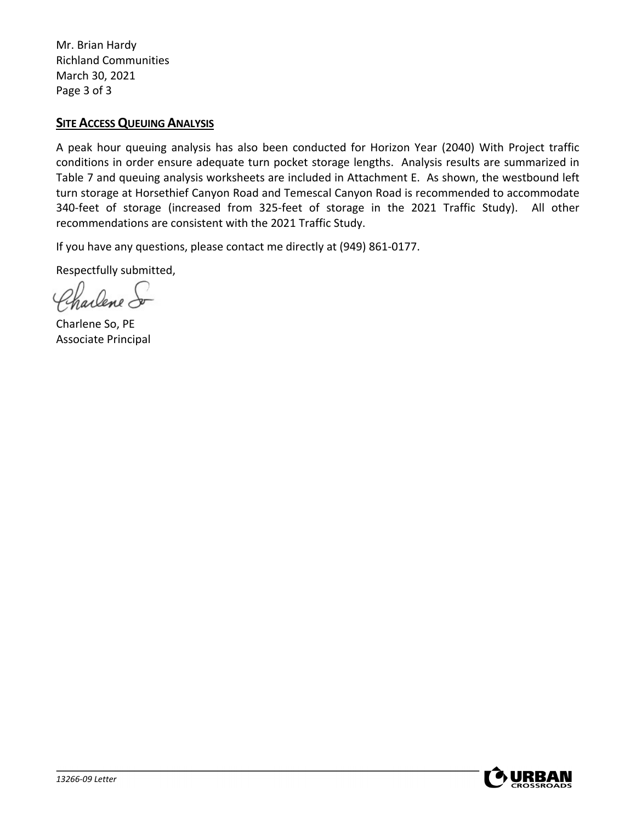Mr. Brian Hardy Richland Communities March 30, 2021 Page 3 of 3

## **SITE ACCESS QUEUING ANALYSIS**

A peak hour queuing analysis has also been conducted for Horizon Year (2040) With Project traffic conditions in order ensure adequate turn pocket storage lengths. Analysis results are summarized in Table 7 and queuing analysis worksheets are included in Attachment E. As shown, the westbound left turn storage at Horsethief Canyon Road and Temescal Canyon Road is recommended to accommodate 340-feet of storage (increased from 325-feet of storage in the 2021 Traffic Study). All other recommendations are consistent with the 2021 Traffic Study.

If you have any questions, please contact me directly at (949) 861-0177.

Respectfully submitted,

Parlene do

Charlene So, PE Associate Principal

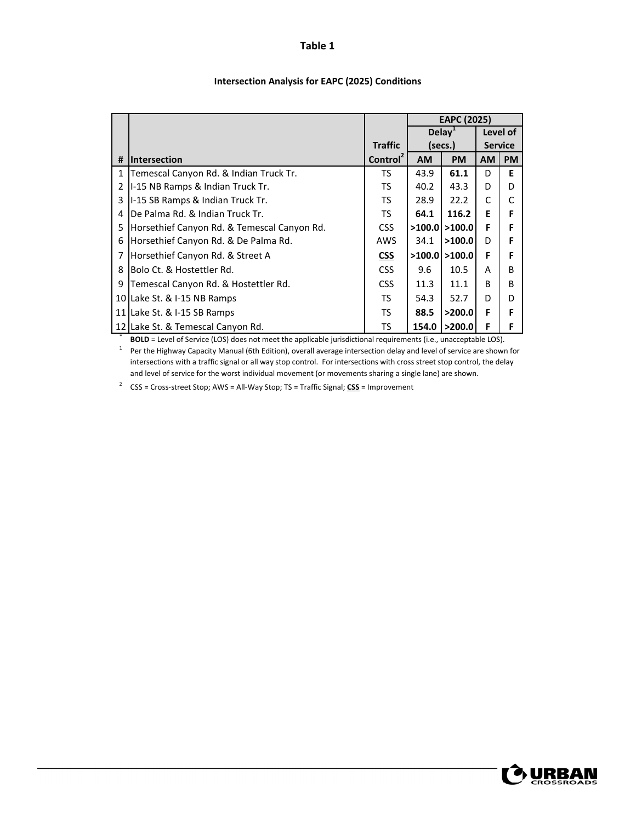|                 |                                             |                      |           | <b>EAPC (2025)</b> |           |                |
|-----------------|---------------------------------------------|----------------------|-----------|--------------------|-----------|----------------|
|                 |                                             |                      |           | Delay <sup>1</sup> |           | Level of       |
|                 |                                             | <b>Traffic</b>       |           | (secs.)            |           | <b>Service</b> |
| #               | <b>Intersection</b>                         | Control <sup>2</sup> | <b>AM</b> | <b>PM</b>          | <b>AM</b> | <b>PM</b>      |
| 1               | Temescal Canyon Rd. & Indian Truck Tr.      | TS.                  | 43.9      | 61.1               | D         | Е              |
| 2               | I-15 NB Ramps & Indian Truck Tr.            | TS.                  | 40.2      | 43.3               | D         | D              |
| 3               | I-15 SB Ramps & Indian Truck Tr.            | TS.                  | 28.9      | 22.2               | C         | C              |
| 4               | De Palma Rd. & Indian Truck Tr.             | TS.                  | 64.1      | 116.2              | E         | F              |
| 5               | Horsethief Canyon Rd. & Temescal Canyon Rd. | <b>CSS</b>           | >100.0    | >100.0             | F         | F              |
| 6               | Horsethief Canyon Rd. & De Palma Rd.        | AWS                  | 34.1      | >100.0             | D         | F              |
|                 | Horsethief Canyon Rd. & Street A            | <b>CSS</b>           | >100.0    | >100.0             | F         | F              |
| 8               | Bolo Ct. & Hostettler Rd.                   | <b>CSS</b>           | 9.6       | 10.5               | A         | B              |
| 9               | Temescal Canyon Rd. & Hostettler Rd.        | <b>CSS</b>           | 11.3      | 11.1               | R         | B              |
| 10 I            | Lake St. & I-15 NB Ramps                    | TS.                  | 54.3      | 52.7               | D         | D              |
| 11 <sup>1</sup> | Lake St. & I-15 SB Ramps                    | TS.                  | 88.5      | >200.0             | F         | F              |
|                 | 12 Lake St. & Temescal Canyon Rd.           | TS                   | 154.0     | >200.0             | F         | F              |

#### **Intersection Analysis for EAPC (2025) Conditions**

**BOLD** = Level of Service (LOS) does not meet the applicable jurisdictional requirements (i.e., unacceptable LOS).

 $1$  Per the Highway Capacity Manual (6th Edition), overall average intersection delay and level of service are shown for intersections with a traffic signal or all way stop control. For intersections with cross street stop control, the delay and level of service for the worst individual movement (or movements sharing a single lane) are shown.

<sup>2</sup> CSS = Cross‐street Stop; AWS = All‐Way Stop; TS = Traffic Signal; **CSS** = Improvement

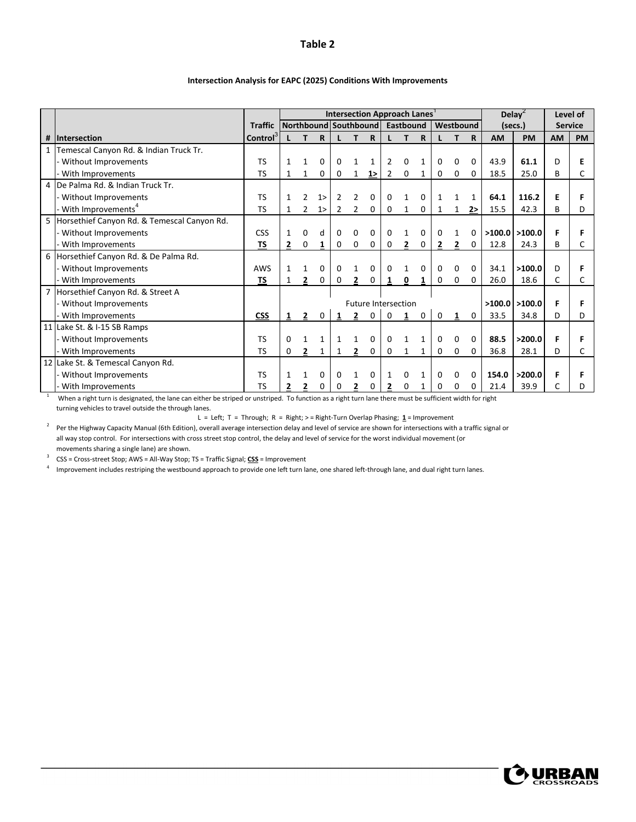|   |                                             |                | <b>Intersection Approach Lanes</b><br>Northbound Southbound |                |    |                |                |              |   |                            |             | Delay <sup><math>\epsilon</math></sup> |           | Level of     |           |                 |           |                |
|---|---------------------------------------------|----------------|-------------------------------------------------------------|----------------|----|----------------|----------------|--------------|---|----------------------------|-------------|----------------------------------------|-----------|--------------|-----------|-----------------|-----------|----------------|
|   |                                             | <b>Traffic</b> |                                                             |                |    |                |                |              |   | Eastbound                  |             |                                        | Westbound |              |           | (secs.)         |           | <b>Service</b> |
| # | <b>Intersection</b>                         | <b>Control</b> |                                                             |                | R. |                |                | R            |   |                            | $\mathbf R$ |                                        |           | $\mathsf{R}$ | <b>AM</b> | <b>PM</b>       | <b>AM</b> | <b>PM</b>      |
|   | Temescal Canyon Rd. & Indian Truck Tr.      |                |                                                             |                |    |                |                |              |   |                            |             |                                        |           |              |           |                 |           |                |
|   | Without Improvements                        | <b>TS</b>      |                                                             |                | 0  | 0              |                |              | 2 | 0                          |             | 0                                      | 0         | 0            | 43.9      | 61.1            | D         |                |
|   | With Improvements                           | <b>TS</b>      | $\mathbf{1}$                                                | $\mathbf{1}$   | 0  | 0              | $\mathbf{1}$   | 1            | 2 | 0                          |             | 0                                      | 0         | 0            | 18.5      | 25.0            | B         |                |
|   | De Palma Rd. & Indian Truck Tr.             |                |                                                             |                |    |                |                |              |   |                            |             |                                        |           |              |           |                 |           |                |
|   | Without Improvements                        | <b>TS</b>      |                                                             | $\mathcal{P}$  | 1> | 2              | $\overline{2}$ | 0            | 0 |                            | $\Omega$    |                                        |           |              | 64.1      | 116.2           | Е         |                |
|   | With Improvements <sup>4</sup>              | <b>TS</b>      | $\mathbf{1}$                                                | $\overline{2}$ | 1> | $\overline{2}$ | 2              | 0            | 0 | $\mathbf{1}$               | 0           | 1                                      | 1         | 2>           | 15.5      | 42.3            | B         | D              |
| 5 | Horsethief Canyon Rd. & Temescal Canyon Rd. |                |                                                             |                |    |                |                |              |   |                            |             |                                        |           |              |           |                 |           |                |
|   | - Without Improvements                      | CSS            |                                                             | $\Omega$       | d  | 0              | $\Omega$       | $\mathbf{0}$ | 0 |                            | 0           | 0                                      |           | 0            | >100.0    | >100.0          | F         |                |
|   | With Improvements                           | <b>TS</b>      | $\overline{2}$                                              | 0              |    | 0              | 0              | 0            | 0 | $\mathbf{2}$               | 0           | 2                                      |           | 0            | 12.8      | 24.3            | B         |                |
| 6 | Horsethief Canyon Rd. & De Palma Rd.        |                |                                                             |                |    |                |                |              |   |                            |             |                                        |           |              |           |                 |           |                |
|   | Without Improvements                        | AWS            | $\mathbf{1}$                                                | 1              | 0  | 0              | 1              | 0            | 0 |                            | 0           | 0                                      | 0         | $\mathbf{0}$ | 34.1      | >100.0          | D         |                |
|   | With Improvements                           | <b>TS</b>      | 1                                                           | 2              | 0  | 0              | $\overline{2}$ | <sup>0</sup> | 1 | 0                          |             | 0                                      | 0         | 0            | 26.0      | 18.6            | C         |                |
|   | Horsethief Canyon Rd. & Street A            |                |                                                             |                |    |                |                |              |   |                            |             |                                        |           |              |           |                 |           |                |
|   | - Without Improvements                      |                |                                                             |                |    |                |                |              |   | <b>Future Intersection</b> |             |                                        |           |              |           | $>100.0$ >100.0 |           |                |
|   | - With Improvements                         | <b>CSS</b>     |                                                             | 2              |    |                | 2              | 0            | 0 |                            | 0           | 0                                      |           | $\Omega$     | 33.5      | 34.8            | D         | D              |
|   | 11 Lake St. & I-15 SB Ramps                 |                |                                                             |                |    |                |                |              |   |                            |             |                                        |           |              |           |                 |           |                |
|   | - Without Improvements                      | <b>TS</b>      | $\Omega$                                                    |                |    |                |                | 0            | 0 |                            |             | 0                                      | 0         | $\Omega$     | 88.5      | >200.0          | F         |                |
|   | - With Improvements                         | <b>TS</b>      | 0                                                           | $\mathbf{2}$   |    |                | 2              | 0            | 0 | 1                          |             | 0                                      | 0         | 0            | 36.8      | 28.1            | D         |                |
|   | 12 Lake St. & Temescal Canyon Rd.           |                |                                                             |                |    |                |                |              |   |                            |             |                                        |           |              |           |                 |           |                |
|   | - Without Improvements                      | <b>TS</b>      |                                                             |                | 0  | 0              |                | 0            | 1 | 0                          |             | 0                                      | 0         | 0            | 154.0     | >200.0          |           |                |
|   | - With Improvements                         | <b>TS</b>      |                                                             |                | 0  | 0              |                | 0            | 2 | 0                          |             | 0                                      | 0         | 0            | 21.4      | 39.9            |           |                |

#### **Intersection Analysis for EAPC (2025) Conditions With Improvements**

 $1$  When a right turn is designated, the lane can either be striped or unstriped. To function as a right turn lane there must be sufficient width for right turning vehicles to travel outside the through lanes.

L = Left; T = Through; R = Right; > = Right-Turn Overlap Phasing; <u>1</u> = Improvement

<sup>2</sup> Per the Highway Capacity Manual (6th Edition), overall average intersection delay and level of service are shown for intersections with a traffic signal or all way stop control. For intersections with cross street stop control, the delay and level of service for the worst individual movement (or movements sharing a single lane) are shown.

<sup>3</sup> CSS = Cross‐street Stop; AWS = All‐Way Stop; TS = Traffic Signal; **CSS** = Improvement

4 Improvement includes restriping the westbound approach to provide one left turn lane, one shared left-through lane, and dual right turn lanes.

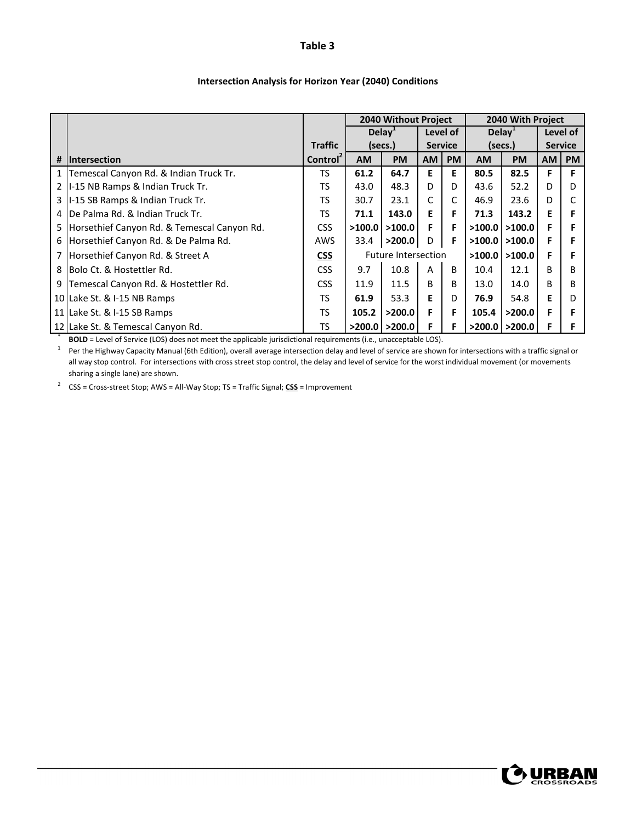|                |                                                 |                      |                    | <b>2040 Without Project</b> |                |           |           | 2040 With Project  |           |                |
|----------------|-------------------------------------------------|----------------------|--------------------|-----------------------------|----------------|-----------|-----------|--------------------|-----------|----------------|
|                |                                                 |                      | Delay <sup>+</sup> |                             |                | Level of  |           | Delay <sup>1</sup> |           | Level of       |
|                |                                                 | <b>Traffic</b>       |                    | (secs.)                     | <b>Service</b> |           |           | (secs.)            |           | <b>Service</b> |
| #              | <b>Intersection</b>                             | Control <sup>2</sup> | <b>AM</b>          | <b>PM</b>                   | <b>AM</b>      | <b>PM</b> | <b>AM</b> | <b>PM</b>          | <b>AM</b> | <b>PM</b>      |
|                | 1   Temescal Canyon Rd. & Indian Truck Tr.      | TS                   | 61.2               | 64.7                        | Е              | Е         | 80.5      | 82.5               | F         | F              |
| $\overline{2}$ | I-15 NB Ramps & Indian Truck Tr.                | TS                   | 43.0               | 48.3                        | D              | D         | 43.6      | 52.2               | D         | D              |
|                | 3   I-15 SB Ramps & Indian Truck Tr.            | TS                   | 30.7               | 23.1                        | C              | C         | 46.9      | 23.6               | D         |                |
|                | 4 IDe Palma Rd. & Indian Truck Tr.              | TS                   | 71.1               | 143.0                       | Е              | F         | 71.3      | 143.2              | Е         |                |
|                | 5   Horsethief Canyon Rd. & Temescal Canyon Rd. | <b>CSS</b>           | >100.0             | >100.0                      | F              | F         | >100.0    | >100.0             | F         |                |
|                | 6 Horsethief Canyon Rd. & De Palma Rd.          | <b>AWS</b>           | 33.4               | >200.0                      | D              | F         | >100.0    | >100.0             | F         |                |
|                | 7 Horsethief Canyon Rd. & Street A              | <b>CSS</b>           |                    | <b>Future Intersection</b>  |                |           | >100.0    | >100.0             | F         |                |
|                | 8 Bolo Ct. & Hostettler Rd.                     | <b>CSS</b>           | 9.7                | 10.8                        | A              | B         | 10.4      | 12.1               | B         | в              |
| 9              | Temescal Canyon Rd. & Hostettler Rd.            | <b>CSS</b>           | 11.9               | 11.5                        | B.             | B         | 13.0      | 14.0               | B         | в              |
|                | 10 Lake St. & I-15 NB Ramps                     | TS.                  | 61.9               | 53.3                        | Е              | D         | 76.9      | 54.8               | Е         | D              |
|                | 11 Lake St. & I-15 SB Ramps                     | TS                   | 105.2              | >200.0                      | F              | F         | 105.4     | >200.0             | F         |                |
|                | 12 Lake St. & Temescal Canyon Rd.               | <b>TS</b>            |                    | $>$ 200.0   $>$ 200.0       | F              | F         | >200.0    | >200.0             | F         |                |

#### **Intersection Analysis for Horizon Year (2040) Conditions**

\* **BOLD** = Level of Service (LOS) does not meet the applicable jurisdictional requirements (i.e., unacceptable LOS).

 $1$  Per the Highway Capacity Manual (6th Edition), overall average intersection delay and level of service are shown for intersections with a traffic signal or all way stop control. For intersections with cross street stop control, the delay and level of service for the worst individual movement (or movements sharing a single lane) are shown.

<sup>2</sup> CSS = Cross‐street Stop; AWS = All‐Way Stop; TS = Traffic Signal; **CSS** = Improvement

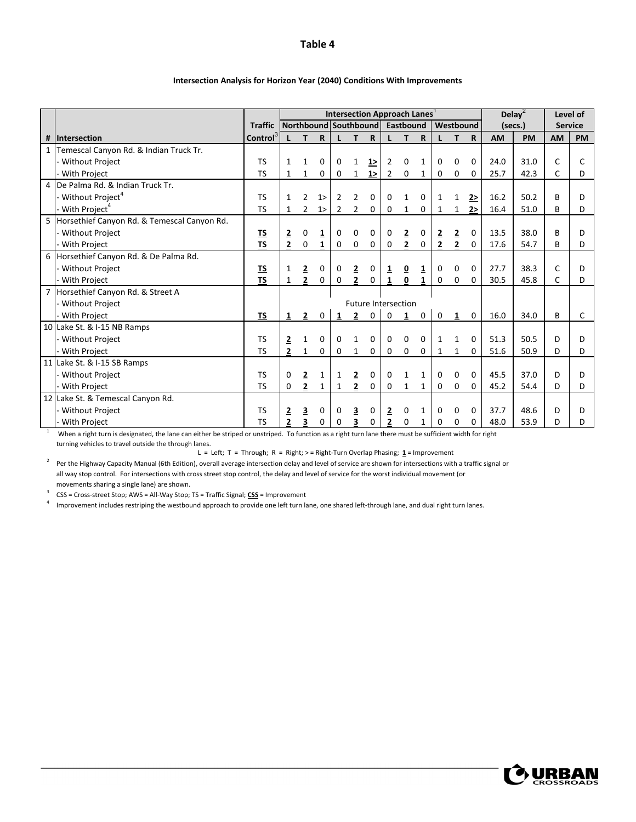|                |                                             |                |                |                |              |                |                         |                       |                         | <b>Intersection Approach Lanes</b> |              |                |                         |              |         | Delay <sup>2</sup> |                | Level of  |
|----------------|---------------------------------------------|----------------|----------------|----------------|--------------|----------------|-------------------------|-----------------------|-------------------------|------------------------------------|--------------|----------------|-------------------------|--------------|---------|--------------------|----------------|-----------|
|                |                                             | <b>Traffic</b> |                |                |              |                |                         | Northbound Southbound |                         | Eastbound                          |              |                | Westbound               |              | (secs.) |                    | <b>Service</b> |           |
| #              | <b>Intersection</b>                         | Control        |                | т              | R.           |                | т                       | $\mathbf R$           | L                       | T.                                 | $\mathbf R$  |                | т                       | $\mathbf R$  | AM      | PM                 | <b>AM</b>      | <b>PM</b> |
| $\mathbf{1}$   | Temescal Canyon Rd. & Indian Truck Tr.      |                |                |                |              |                |                         |                       |                         |                                    |              |                |                         |              |         |                    |                |           |
|                | <b>Without Project</b>                      | <b>TS</b>      | $\mathbf{1}$   | $\mathbf{1}$   | 0            | 0              |                         | 1                     | 2                       | 0                                  | 1            | 0              | 0                       | $\Omega$     | 24.0    | 31.0               | C              |           |
|                | With Project                                | <b>TS</b>      | $\mathbf{1}$   | $\mathbf{1}$   | 0            | $\mathbf 0$    | $\mathbf{1}$            | 12                    | $\overline{2}$          | 0                                  | $\mathbf{1}$ | 0              | 0                       | 0            | 25.7    | 42.3               | C              | D         |
| $\overline{4}$ | De Palma Rd. & Indian Truck Tr.             |                |                |                |              |                |                         |                       |                         |                                    |              |                |                         |              |         |                    |                |           |
|                | - Without Project <sup>4</sup>              | <b>TS</b>      | $\mathbf{1}$   | $\overline{2}$ | 1>           | $\overline{2}$ | $\overline{2}$          | $\Omega$              | 0                       | 1                                  | 0            | 1              | 1                       | 2>           | 16.2    | 50.2               | B              | D         |
|                | With Project <sup>4</sup>                   | <b>TS</b>      | 1              | $\overline{2}$ | 1>           | $\overline{2}$ | 2                       | 0                     | 0                       | 1                                  | 0            | 1              | 1                       | 2>           | 16.4    | 51.0               | B              | D         |
| 5              | Horsethief Canyon Rd. & Temescal Canyon Rd. |                |                |                |              |                |                         |                       |                         |                                    |              |                |                         |              |         |                    |                |           |
|                | <b>Without Project</b>                      | <u>TS</u>      | $\overline{2}$ | 0              | 1            | 0              | 0                       | 0                     | 0                       | $\overline{2}$                     | 0            | $\overline{2}$ | $\overline{\mathbf{2}}$ | 0            | 13.5    | 38.0               | B              | D         |
|                | <b>With Project</b>                         | <b>TS</b>      | $\overline{2}$ | 0              | $\mathbf{1}$ | 0              | 0                       | 0                     | 0                       | $\overline{2}$                     | 0            | $\overline{2}$ | $\overline{2}$          | 0            | 17.6    | 54.7               | B              | D         |
|                | 6 Horsethief Canyon Rd. & De Palma Rd.      |                |                |                |              |                |                         |                       |                         |                                    |              |                |                         |              |         |                    |                |           |
|                | Without Project                             | <u>TS</u>      | 1              | $\overline{2}$ | 0            | 0              | $\overline{2}$          | 0                     | $\overline{\mathbf{1}}$ | $\overline{\mathbf{0}}$            | 1            | 0              | 0                       | $\mathbf{0}$ | 27.7    | 38.3               | C              | D         |
|                | <b>With Project</b>                         | <b>TS</b>      | $\mathbf{1}$   | $\overline{2}$ | 0            | $\mathbf{0}$   | $\overline{2}$          | 0                     | $\mathbf{1}$            | $\Omega$                           |              | 0              | 0                       | 0            | 30.5    | 45.8               | C              | D         |
|                | Horsethief Canyon Rd. & Street A            |                |                |                |              |                |                         |                       |                         |                                    |              |                |                         |              |         |                    |                |           |
|                | <b>Without Project</b>                      |                |                |                |              |                |                         |                       |                         | <b>Future Intersection</b>         |              |                |                         |              |         |                    |                |           |
|                | With Project                                | <b>TS</b>      | 1              | $\mathbf{2}$   | 0            |                | $\mathbf{2}$            | 0                     | $\mathbf 0$             | 1                                  | $\mathbf 0$  | $\mathbf 0$    | 1                       | $\mathbf 0$  | 16.0    | 34.0               | B              | C         |
|                | 10 Lake St. & I-15 NB Ramps                 |                |                |                |              |                |                         |                       |                         |                                    |              |                |                         |              |         |                    |                |           |
|                | <b>Without Project</b>                      | <b>TS</b>      | $\overline{2}$ | $\mathbf{1}$   | 0            | 0              | $\mathbf{1}$            | $\Omega$              | 0                       | 0                                  | $\Omega$     | 1              | $\mathbf{1}$            | $\Omega$     | 51.3    | 50.5               | D              | D         |
|                | <b>With Project</b>                         | <b>TS</b>      | $\mathbf{2}$   | $\mathbf{1}$   | 0            | 0              | $\mathbf{1}$            | 0                     | 0                       | $\mathbf 0$                        | 0            | 1              | 1                       | 0            | 51.6    | 50.9               | D              | D         |
|                | 11 Lake St. & I-15 SB Ramps                 |                |                |                |              |                |                         |                       |                         |                                    |              |                |                         |              |         |                    |                |           |
|                | Without Project                             | <b>TS</b>      | $\Omega$       | $\overline{2}$ | 1            | 1              | $\overline{\mathbf{2}}$ | 0                     | 0                       | $\mathbf{1}$                       | $\mathbf{1}$ | 0              | 0                       | $\mathbf{0}$ | 45.5    | 37.0               | D              | D         |
|                | <b>With Project</b>                         | <b>TS</b>      | 0              | $\overline{2}$ | 1            | 1              | $\mathbf{2}$            | 0                     | 0                       | 1                                  | 1            | 0              | 0                       | 0            | 45.2    | 54.4               | D              | D         |
|                | 12 Lake St. & Temescal Canyon Rd.           |                |                |                |              |                |                         |                       |                         |                                    |              |                |                         |              |         |                    |                |           |
|                | Without Project                             | <b>TS</b>      | 2              | 3              | 0            | 0              | 3                       | 0                     | $\overline{2}$          | 0                                  | 1            | 0              | 0                       | $\Omega$     | 37.7    | 48.6               | D              | D         |
|                | With Project                                | <b>TS</b>      | $\overline{2}$ | 3              | 0            | 0              | 3                       | 0                     | $\overline{\mathbf{2}}$ | 0                                  |              | 0              | 0                       | 0            | 48.0    | 53.9               | D              | D         |

#### **Intersection Analysis for Horizon Year (2040) Conditions With Improvements**

<sup>1</sup> When a right turn is designated, the lane can either be striped or unstriped. To function as a right turn lane there must be sufficient width for right turning vehicles to travel outside the through lanes.

L = Left; T = Through; R = Right; > = Right‐Turn Overlap Phasing; **1** = Improvement

<sup>2</sup> Per the Highway Capacity Manual (6th Edition), overall average intersection delay and level of service are shown for intersections with a traffic signal or all way stop control. For intersections with cross street stop control, the delay and level of service for the worst individual movement (or movements sharing a single lane) are shown.

<sup>3</sup> CSS = Cross‐street Stop; AWS = All‐Way Stop; TS = Traffic Signal; **CSS** = Improvement

4 Improvement includes restriping the westbound approach to provide one left turn lane, one shared left-through lane, and dual right turn lanes.

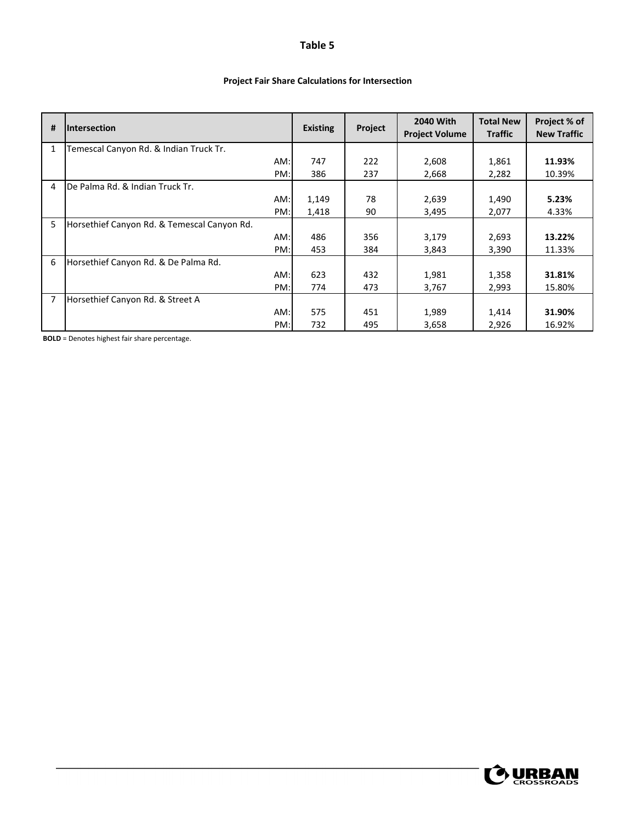### **Project Fair Share Calculations for Intersection**

| #            | <b>Intersection</b>                         | <b>Existing</b> | Project | <b>2040 With</b><br><b>Project Volume</b> | <b>Total New</b><br><b>Traffic</b> | Project % of<br><b>New Traffic</b> |
|--------------|---------------------------------------------|-----------------|---------|-------------------------------------------|------------------------------------|------------------------------------|
| $\mathbf{1}$ | Temescal Canyon Rd. & Indian Truck Tr.      |                 |         |                                           |                                    |                                    |
|              | AM:                                         | 747             | 222     | 2,608                                     | 1,861                              | 11.93%                             |
|              | PM:                                         | 386             | 237     | 2,668                                     | 2,282                              | 10.39%                             |
| 4            | De Palma Rd. & Indian Truck Tr.             |                 |         |                                           |                                    |                                    |
|              | AM:                                         | 1,149           | 78      | 2,639                                     | 1,490                              | 5.23%                              |
|              | PM:                                         | 1,418           | 90      | 3,495                                     | 2,077                              | 4.33%                              |
| 5            | Horsethief Canyon Rd. & Temescal Canyon Rd. |                 |         |                                           |                                    |                                    |
|              | AM:                                         | 486             | 356     | 3,179                                     | 2,693                              | 13.22%                             |
|              | PM:                                         | 453             | 384     | 3,843                                     | 3,390                              | 11.33%                             |
| 6            | Horsethief Canyon Rd. & De Palma Rd.        |                 |         |                                           |                                    |                                    |
|              | AM:                                         | 623             | 432     | 1,981                                     | 1,358                              | 31.81%                             |
|              | PM:                                         | 774             | 473     | 3,767                                     | 2,993                              | 15.80%                             |
|              | Horsethief Canyon Rd. & Street A            |                 |         |                                           |                                    |                                    |
|              | AM:                                         | 575             | 451     | 1,989                                     | 1,414                              | 31.90%                             |
|              | PM:                                         | 732             | 495     | 3,658                                     | 2,926                              | 16.92%                             |

**BOLD** = Denotes highest fair share percentage.

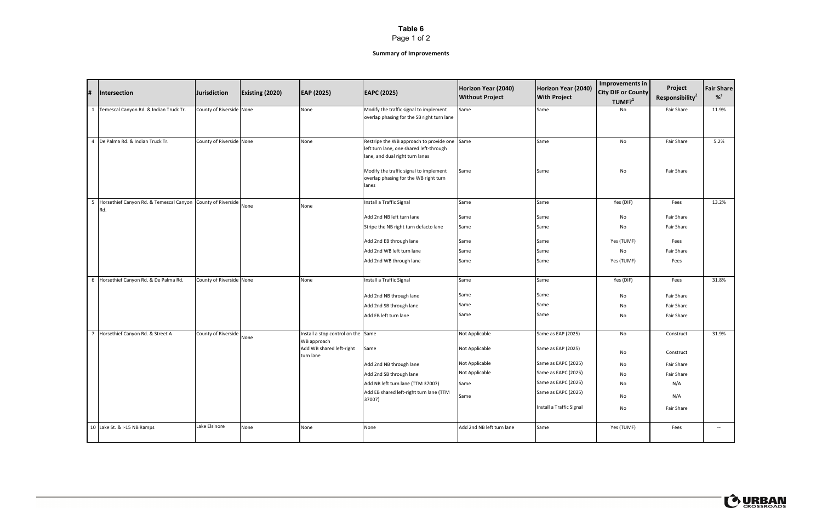Page 1 of 2

| 1#             | Intersection                                                       | <b>Jurisdiction</b>      | <b>Existing (2020)</b> | EAP (2025)                                                                                 | <b>EAPC (2025)</b>                                                                                                                                                                                                     | Horizon Year (2040)<br><b>Without Project</b>                                        | Horizon Year (2040)<br><b>With Project</b>                                                                                                                       | Improvements in<br><b>City DIF or County</b><br>TUMF? <sup>1</sup> | Project<br>Responsibility <sup>2</sup>                                         | <b>Fair Share</b><br>$%^{3}$ |
|----------------|--------------------------------------------------------------------|--------------------------|------------------------|--------------------------------------------------------------------------------------------|------------------------------------------------------------------------------------------------------------------------------------------------------------------------------------------------------------------------|--------------------------------------------------------------------------------------|------------------------------------------------------------------------------------------------------------------------------------------------------------------|--------------------------------------------------------------------|--------------------------------------------------------------------------------|------------------------------|
| 1              | Temescal Canyon Rd. & Indian Truck Tr.                             | County of Riverside None |                        | None                                                                                       | Modify the traffic signal to implement<br>overlap phasing for the SB right turn lane                                                                                                                                   | Same                                                                                 | Same                                                                                                                                                             | No                                                                 | Fair Share                                                                     | 11.9%                        |
| $\overline{4}$ | De Palma Rd. & Indian Truck Tr.                                    | County of Riverside None |                        | None                                                                                       | Restripe the WB approach to provide one Same<br>left turn lane, one shared left-through<br>lane, and dual right turn lanes<br>Modify the traffic signal to implement<br>overlap phasing for the WB right turn<br>lanes | Same                                                                                 | Same<br>Same                                                                                                                                                     | No<br>No                                                           | Fair Share<br>Fair Share                                                       | 5.2%                         |
| - 5            | Horsethief Canyon Rd. & Temescal Canyon County of Riverside<br>Rd. |                          | None                   | None                                                                                       | Install a Traffic Signal<br>Add 2nd NB left turn lane<br>Stripe the NB right turn defacto lane<br>Add 2nd EB through lane<br>Add 2nd WB left turn lane<br>Add 2nd WB through lane                                      | Same<br>Same<br>Same<br>Same<br>Same<br>Same                                         | Same<br>Same<br>Same<br>Same<br>Same<br>Same                                                                                                                     | Yes (DIF)<br>No<br>No<br>Yes (TUMF)<br>No<br>Yes (TUMF)            | Fees<br>Fair Share<br>Fair Share<br>Fees<br>Fair Share<br>Fees                 | 13.2%                        |
|                | 6 Horsethief Canyon Rd. & De Palma Rd.                             | County of Riverside None |                        | None                                                                                       | Install a Traffic Signal<br>Add 2nd NB through lane<br>Add 2nd SB through lane<br>Add EB left turn lane                                                                                                                | Same<br>Same<br>Same<br>Same                                                         | Same<br>Same<br>Same<br>Same                                                                                                                                     | Yes (DIF)<br>No<br>No<br>No                                        | Fees<br>Fair Share<br>Fair Share<br>Fair Share                                 | 31.8%                        |
|                | 7 Horsethief Canyon Rd. & Street A                                 | County of Riverside      | None                   | Install a stop control on the Same<br>WB approach<br>Add WB shared left-right<br>turn lane | Same<br>Add 2nd NB through lane<br>Add 2nd SB through lane<br>Add NB left turn lane (TTM 37007)<br>Add EB shared left-right turn lane (TTM<br>37007)                                                                   | Not Applicable<br>Not Applicable<br>Not Applicable<br>Not Applicable<br>Same<br>Same | Same as EAP (2025)<br>Same as EAP (2025)<br>Same as EAPC (2025)<br>Same as EAPC (2025)<br>Same as EAPC (2025)<br>Same as EAPC (2025)<br>Install a Traffic Signal | No<br>No<br>No<br>No<br>No<br>No<br>No                             | Construct<br>Construct<br>Fair Share<br>Fair Share<br>N/A<br>N/A<br>Fair Share | 31.9%                        |
|                | 10 Lake St. & I-15 NB Ramps                                        | Lake Elsinore            | None                   | None                                                                                       | None                                                                                                                                                                                                                   | Add 2nd NB left turn lane                                                            | Same                                                                                                                                                             | Yes (TUMF)                                                         | Fees                                                                           | $\overline{\phantom{a}}$     |



## **Summary of Improvements**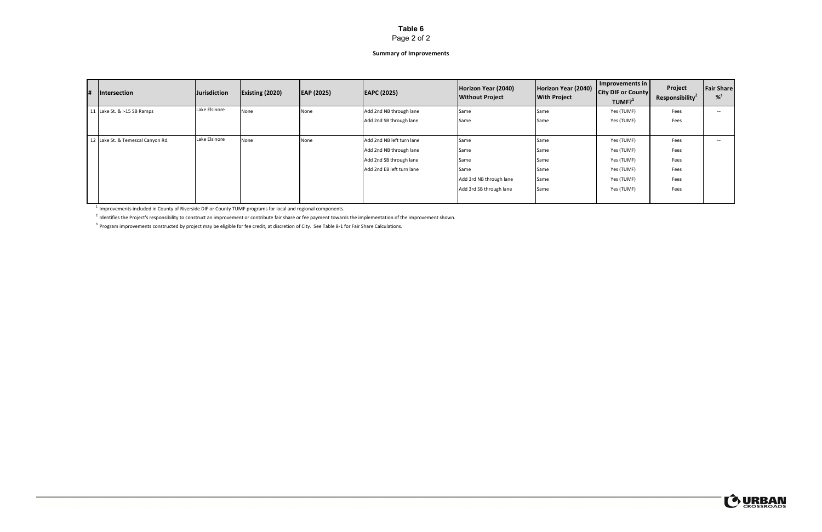## Page 2 of 2

### **Summary of Improvements**

| # | Intersection                   | Jurisdiction  | <b>Existing (2020)</b> | EAP (2025) | <b>EAPC (2025)</b>        | Horizon Year (2040)<br><b>Without Project</b> | Horizon Year (2040)<br><b>With Project</b> | Improvements in  <br><b>City DIF or County</b><br>TUMF? <sup>1</sup> | Project<br>Responsibility <sup>2</sup> | <b>Fair Share</b><br>$%^{3}$ |
|---|--------------------------------|---------------|------------------------|------------|---------------------------|-----------------------------------------------|--------------------------------------------|----------------------------------------------------------------------|----------------------------------------|------------------------------|
|   | Lake St. & I-15 SB Ramps       | Lake Elsinore | None                   | None       | Add 2nd NB through lane   | Same                                          | Same                                       | Yes (TUMF)                                                           | Fees                                   | $- -$                        |
|   |                                |               |                        |            | Add 2nd SB through lane   | Same                                          | Same                                       | Yes (TUMF)                                                           | Fees                                   |                              |
|   |                                |               |                        |            |                           |                                               |                                            |                                                                      |                                        |                              |
|   | Lake St. & Temescal Canyon Rd. | Lake Elsinore | None                   | None       | Add 2nd NB left turn lane | Same                                          | Same                                       | Yes (TUMF)                                                           | Fees                                   | $- -$                        |
|   |                                |               |                        |            | Add 2nd NB through lane   | Same                                          | Same                                       | Yes (TUMF)                                                           | Fees                                   |                              |
|   |                                |               |                        |            | Add 2nd SB through lane   | Same                                          | Same                                       | Yes (TUMF)                                                           | Fees                                   |                              |
|   |                                |               |                        |            | Add 2nd EB left turn lane | Same                                          | Same                                       | Yes (TUMF)                                                           | Fees                                   |                              |
|   |                                |               |                        |            |                           | Add 3rd NB through lane                       | Same                                       | Yes (TUMF)                                                           | Fees                                   |                              |
|   |                                |               |                        |            |                           | Add 3rd SB through lane                       | Same                                       | Yes (TUMF)                                                           | Fees                                   |                              |
|   |                                |               |                        |            |                           |                                               |                                            |                                                                      |                                        |                              |

 $<sup>1</sup>$  Improvements included in County of Riverside DIF or County TUMF programs for local and regional components.</sup>

<sup>2</sup> Identifies the Project's responsibility to construct an improvement or contribute fair share or fee payment towards the implementation of the improvement shown.

 $3$  Program improvements constructed by project may be eligible for fee credit, at discretion of City. See Table 8-1 for Fair Share Calculations.

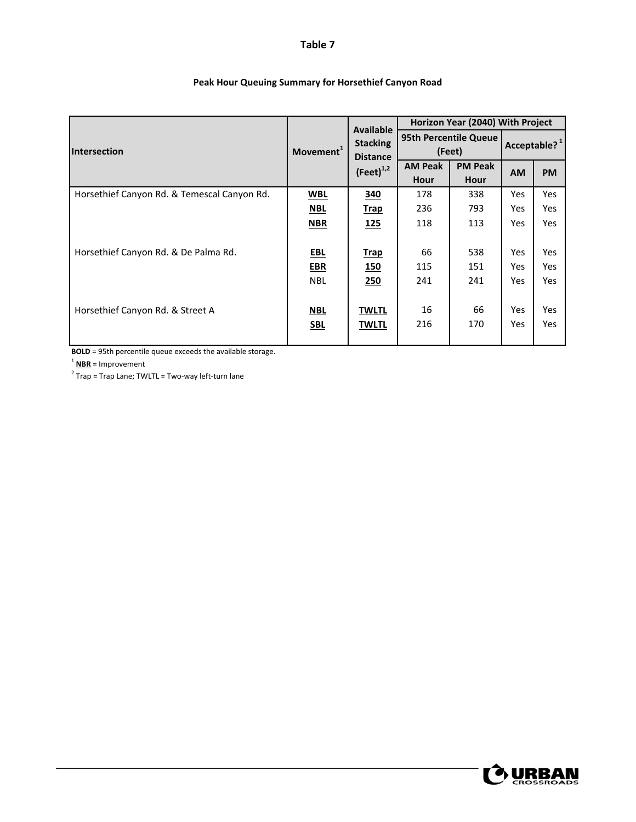|                                             |                       | <b>Available</b>                   |                | Horizon Year (2040) With Project |           |                          |
|---------------------------------------------|-----------------------|------------------------------------|----------------|----------------------------------|-----------|--------------------------|
| <b>Intersection</b>                         | Movement <sup>1</sup> | <b>Stacking</b><br><b>Distance</b> |                | 95th Percentile Queue<br>(Feet)  |           | Acceptable? <sup>1</sup> |
|                                             |                       | $(Feet)^{1,2}$                     | <b>AM Peak</b> | <b>PM Peak</b>                   | <b>AM</b> | <b>PM</b>                |
|                                             |                       |                                    | Hour           | Hour                             |           |                          |
| Horsethief Canyon Rd. & Temescal Canyon Rd. | WBL                   | 340                                | 178            | 338                              | Yes       | Yes                      |
|                                             | <b>NBL</b>            | <b>Trap</b>                        | 236            | 793                              | Yes       | Yes                      |
|                                             | <b>NBR</b>            | <u>125</u>                         | 118            | 113                              | Yes       | Yes                      |
|                                             |                       |                                    |                |                                  |           |                          |
| Horsethief Canyon Rd. & De Palma Rd.        | <u>EBL</u>            | <b>Trap</b>                        | 66             | 538                              | Yes       | Yes                      |
|                                             | <b>EBR</b>            | <u>150</u>                         | 115            | 151                              | Yes       | Yes                      |
|                                             | <b>NBL</b>            | 250                                | 241            | 241                              | Yes       | Yes                      |
|                                             |                       |                                    |                |                                  |           |                          |
| Horsethief Canyon Rd. & Street A            | <u>NBL</u>            | <b>TWLTL</b>                       | 16             | 66                               | Yes       | Yes                      |
|                                             | <b>SBL</b>            | <b>TWLTL</b>                       | 216            | 170                              | Yes       | Yes                      |
|                                             |                       |                                    |                |                                  |           |                          |

## **Peak Hour Queuing Summary for Horsethief Canyon Road**

**BOLD** = 95th percentile queue exceeds the available storage.

<sup>1</sup> **NBR** = Improvement

 $\frac{1}{2}$  Trap = Trap Lane; TWLTL = Two-way left-turn lane

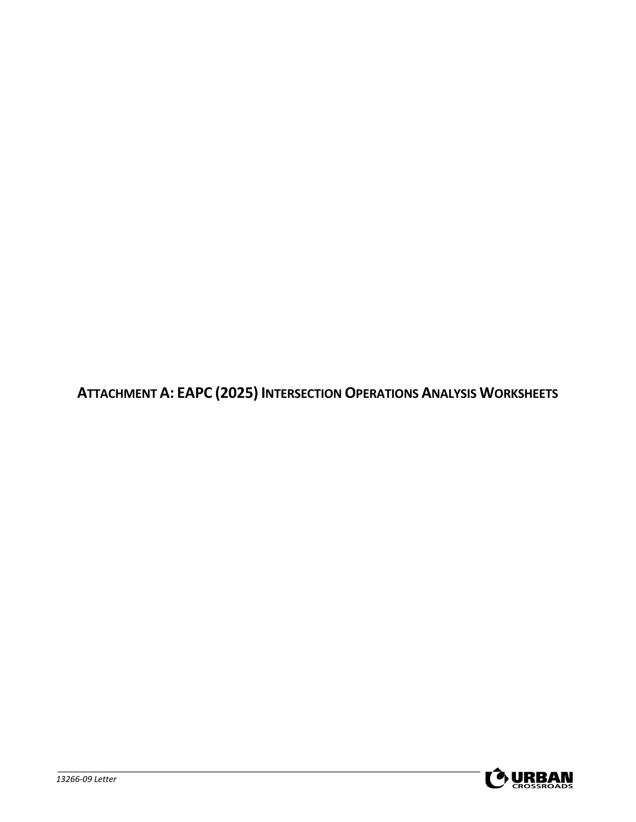**ATTACHMENT A: EAPC (2025) INTERSECTIONOPERATIONS ANALYSIS WORKSHEETS**

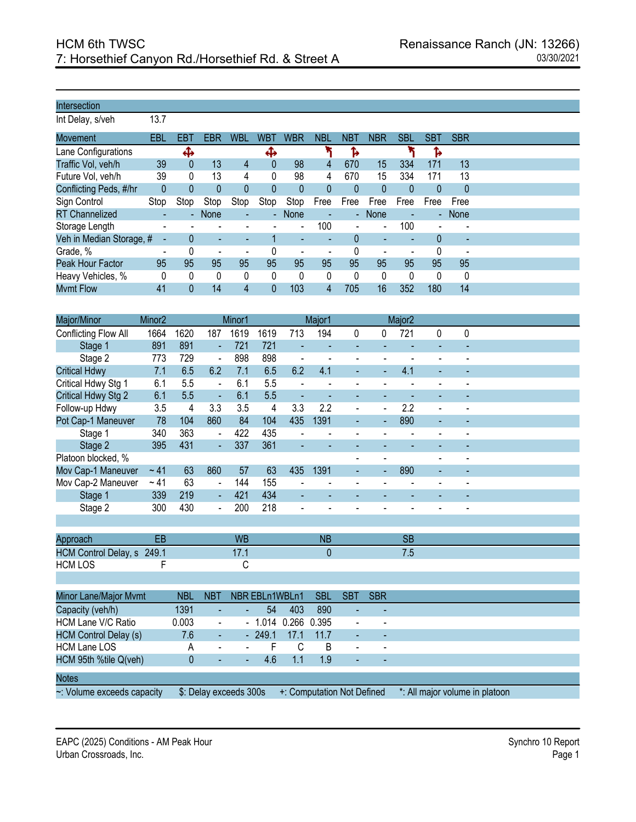Int Delay, s/veh 13.7

| Movement                 | EBL                      | EBT            | EBR                      | WBL                      | <b>WBT</b>               | WBR                      | NBL  | NBT            | <b>NBR</b>     | <b>SBL</b> | SBT      | <b>SBR</b> |
|--------------------------|--------------------------|----------------|--------------------------|--------------------------|--------------------------|--------------------------|------|----------------|----------------|------------|----------|------------|
| Lane Configurations      |                          | ቆ              |                          |                          | Ф                        |                          |      | ъ              |                |            | Ъ        |            |
| Traffic Vol, veh/h       | 39                       | $\Omega$       | 13                       | 4                        | $\Omega$                 | 98                       | 4    | 670            | 15             | 334        | 171      | 13         |
| Future Vol, veh/h        | 39                       | 0              | 13                       | 4                        | 0                        | 98                       | 4    | 670            | 15             | 334        | 171      | 13         |
| Conflicting Peds, #/hr   | 0                        | 0              | 0                        | 0                        |                          | 0                        | 0    |                | 0              | $\Omega$   | 0        | 0          |
| Sign Control             | Stop                     | Stop           | Stop                     | Stop                     | Stop                     | Stop                     | Free | Free           | Free           | Free       | Free     | Free       |
| <b>RT</b> Channelized    |                          | $\blacksquare$ | None                     | ٠                        | $\overline{\phantom{a}}$ | None                     |      | $\blacksquare$ | <b>None</b>    |            |          | - None     |
| Storage Length           |                          |                |                          |                          |                          | $\overline{\phantom{a}}$ | 100  | $\blacksquare$ | $\blacksquare$ | 100        |          |            |
| Veh in Median Storage, # |                          |                | ٠                        | ٠                        |                          | ۰                        |      |                |                |            | $\Omega$ | ٠          |
| Grade, %                 | $\overline{\phantom{0}}$ |                | $\overline{\phantom{a}}$ | $\overline{\phantom{a}}$ | 0                        | $\overline{\phantom{0}}$ |      |                |                |            | 0        |            |
| Peak Hour Factor         | 95                       | 95             | 95                       | 95                       | 95                       | 95                       | 95   | 95             | 95             | 95         | 95       | 95         |
| Heavy Vehicles, %        | 0                        | 0              | 0                        | $\Omega$                 | 0                        | 0                        | 0    | 0              | 0              | $\Omega$   | 0        | 0          |
| <b>Mvmt Flow</b>         | 41                       | 0              | 14                       | 4                        | 0                        | 103                      | 4    | 705            | 16             | 352        | 180      | 14         |

| Major/Minor                   | Minor <sub>2</sub> |            |                          | Minor1    |                |                          | Major1     |            |            | Major <sub>2</sub> |   |   |  |
|-------------------------------|--------------------|------------|--------------------------|-----------|----------------|--------------------------|------------|------------|------------|--------------------|---|---|--|
| Conflicting Flow All          | 1664               | 1620       | 187                      | 1619      | 1619           | 713                      | 194        | 0          | 0          | 721                | 0 | 0 |  |
| Stage 1                       | 891                | 891        | ÷,                       | 721       | 721            |                          |            |            |            |                    |   |   |  |
| Stage 2                       | 773                | 729        | $\blacksquare$           | 898       | 898            |                          |            |            |            |                    |   |   |  |
| <b>Critical Hdwy</b>          | 7.1                | 6.5        | 6.2                      | 7.1       | 6.5            | 6.2                      | 4.1        |            |            | 4.1                |   |   |  |
| Critical Hdwy Stg 1           | 6.1                | 5.5        | $\overline{\phantom{a}}$ | 6.1       | 5.5            |                          |            |            |            |                    |   |   |  |
| Critical Hdwy Stg 2           | 6.1                | 5.5        | ÷,                       | 6.1       | 5.5            |                          |            |            |            |                    |   |   |  |
| Follow-up Hdwy                | 3.5                | 4          | 3.3                      | 3.5       | 4              | 3.3                      | 2.2        |            |            | 2.2                |   |   |  |
| Pot Cap-1 Maneuver            | 78                 | 104        | 860                      | 84        | 104            | 435                      | 1391       |            | ä,         | 890                |   |   |  |
| Stage 1                       | 340                | 363        | $\blacksquare$           | 422       | 435            |                          |            |            |            |                    |   |   |  |
| Stage 2                       | 395                | 431        | $\blacksquare$           | 337       | 361            |                          |            |            |            |                    |   |   |  |
| Platoon blocked, %            |                    |            |                          |           |                |                          |            |            |            |                    |   |   |  |
| Mov Cap-1 Maneuver            | ~1                 | 63         | 860                      | 57        | 63             | 435                      | 1391       |            | ٠          | 890                | ٠ |   |  |
| Mov Cap-2 Maneuver            | ~ 41               | 63         | $\blacksquare$           | 144       | 155            |                          |            |            |            |                    |   |   |  |
| Stage 1                       | 339                | 219        | $\blacksquare$           | 421       | 434            | $\overline{\phantom{0}}$ |            |            |            |                    |   |   |  |
| Stage 2                       | 300                | 430        | $\blacksquare$           | 200       | 218            |                          |            |            |            |                    |   |   |  |
|                               |                    |            |                          |           |                |                          |            |            |            |                    |   |   |  |
| Approach                      | EB                 |            |                          | <b>WB</b> |                |                          | <b>NB</b>  |            |            | <b>SB</b>          |   |   |  |
| HCM Control Delay, s 249.1    |                    |            |                          | 17.1      |                |                          | 0          |            |            | 7.5                |   |   |  |
| <b>HCM LOS</b>                | F                  |            |                          | С         |                |                          |            |            |            |                    |   |   |  |
|                               |                    |            |                          |           |                |                          |            |            |            |                    |   |   |  |
| Minor Lane/Major Mvmt         |                    | <b>NBL</b> | <b>NBT</b>               |           | NBR EBLn1WBLn1 |                          | <b>SBL</b> | <b>SBT</b> | <b>SBR</b> |                    |   |   |  |
| Capacity (veh/h)              |                    | 1391       |                          |           | 54             | 403                      | 890        |            |            |                    |   |   |  |
| $\Box$ CML and $\Box$ C Datio |                    | מ∩ח ∩      |                          |           | 1.011.0000     |                          | n one      |            |            |                    |   |   |  |

| ~: Volume exceeds capacity   |              |                             |                     |       | $$:$ Delay exceeds 300s $+:$ Computation Not Defined |                          | *: All major volume in platoon |
|------------------------------|--------------|-----------------------------|---------------------|-------|------------------------------------------------------|--------------------------|--------------------------------|
| <b>Notes</b>                 |              |                             |                     |       |                                                      |                          |                                |
|                              |              |                             |                     |       |                                                      |                          |                                |
| HCM 95th %tile Q(veh)        | $\mathbf{U}$ | $\mathcal{L}_{\mathcal{A}}$ | $-46$ 1.1           | - 1 Q | $\sim$                                               | $\sim$                   |                                |
| <b>HCM Lane LOS</b>          | A            | <b>Contract</b><br>$\sim$   | . F.                | B     | $\overline{\phantom{a}}$                             | $\overline{\phantom{a}}$ |                                |
| <b>HCM Control Delay (s)</b> | 7.6          | $\omega$                    | - 249.1 17.1 11.7   |       | $\sim$                                               | $\overline{\phantom{a}}$ |                                |
| HCM Lane V/C Ratio           | 0.003        | $\blacksquare$              | - 1.014 0.266 0.395 |       | $\blacksquare$                                       | $\overline{\phantom{a}}$ |                                |
|                              |              |                             |                     |       |                                                      |                          |                                |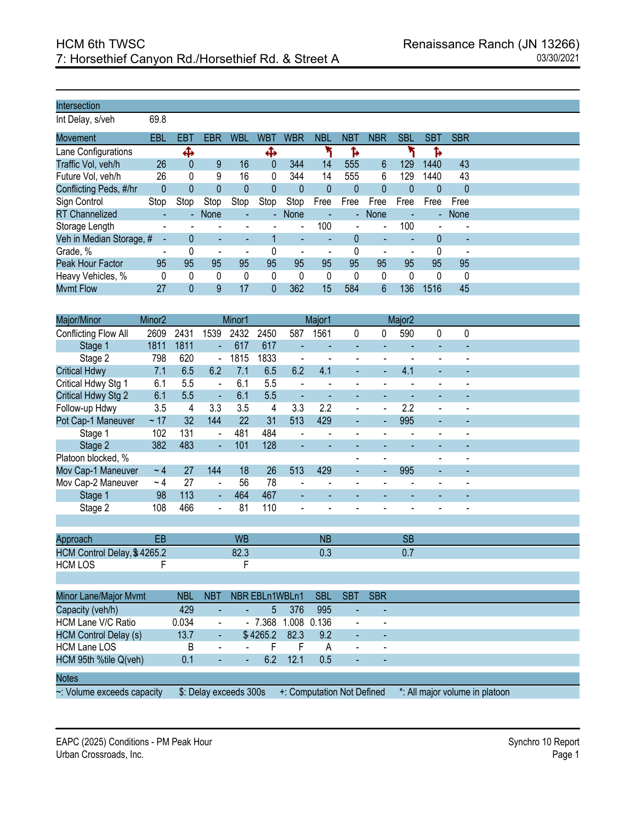Int Delay, s/veh 69.8

| Movement                 | EBL                      | EBT            | <b>EBR</b>                   | <b>WBL</b>     | <b>WBT</b>     | <b>WBR</b>               | <b>NBL</b> | <b>NBT</b> | <b>NBR</b>               | <b>SBL</b>   | <b>SBT</b> | <b>SBR</b>               |
|--------------------------|--------------------------|----------------|------------------------------|----------------|----------------|--------------------------|------------|------------|--------------------------|--------------|------------|--------------------------|
| Lane Configurations      |                          | Ф              |                              |                | Ф              |                          |            | Ъ          |                          |              | Ъ          |                          |
| Traffic Vol, veh/h       | 26                       | 0              | 9                            | 16             | $\overline{0}$ | 344                      | 14         | 555        | 6                        | 129          | 1440       | 43                       |
| Future Vol, veh/h        | 26                       | 0              | 9                            | 16             | 0              | 344                      | 14         | 555        | 6                        | 129          | 1440       | 43                       |
| Conflicting Peds, #/hr   | 0                        | 0              |                              | 0              | 0              | 0                        | 0          | 0          | $\Omega$                 | $\mathbf{0}$ | 0          | $\theta$                 |
| Sign Control             | Stop                     | Stop           | Stop                         | Stop           | Stop           | Stop                     | Free       | Free       | Free                     | Free         | Free       | Free                     |
| <b>RT</b> Channelized    |                          | $\blacksquare$ | None                         | ٠              | ÷.             | None                     |            | ÷.         | <b>None</b>              |              |            | - None                   |
| Storage Length           |                          |                |                              |                |                | $\blacksquare$           | 100        |            | $\blacksquare$           | 100          |            |                          |
| Veh in Median Storage, # |                          |                | ٠                            | ٠              |                | $\overline{\phantom{a}}$ |            |            | $\overline{\phantom{a}}$ |              | $\Omega$   | $\overline{\phantom{a}}$ |
| Grade, %                 | $\overline{\phantom{0}}$ |                | $\qquad \qquad \blacksquare$ | $\blacksquare$ | 0              | -                        |            |            |                          |              | 0          |                          |
| Peak Hour Factor         | 95                       | 95             | 95                           | 95             | 95             | 95                       | 95         | 95         | 95                       | 95           | 95         | 95                       |
| Heavy Vehicles, %        | 0                        | 0              | 0                            | 0              | 0              | 0                        | 0          | $\Omega$   | 0                        | 0            | 0          | 0                        |
| <b>Mvmt Flow</b>         | 27                       | 0              | 9                            | 17             | 0              | 362                      | 15         | 584        | 6                        | 136          | 1516       | 45                       |

| Major/Minor                  | Minor <sub>2</sub> |            |                | Minor1                 |                |                | Major1                     |                          |                          | Major <sub>2</sub> |                                |                |  |  |
|------------------------------|--------------------|------------|----------------|------------------------|----------------|----------------|----------------------------|--------------------------|--------------------------|--------------------|--------------------------------|----------------|--|--|
| Conflicting Flow All         | 2609               | 2431       | 1539           | 2432                   | 2450           | 587            | 1561                       | 0                        | 0                        | 590                | 0                              | 0              |  |  |
| Stage 1                      | 1811               | 1811       | ä,             | 617                    | 617            | $\blacksquare$ |                            | $\blacksquare$           |                          |                    |                                |                |  |  |
| Stage 2                      | 798                | 620        | $\blacksquare$ | 1815                   | 1833           |                |                            | ÷,                       |                          |                    |                                |                |  |  |
| <b>Critical Hdwy</b>         | 7.1                | 6.5        | 6.2            | 7.1                    | 6.5            | 6.2            | 4.1                        | ÷,                       |                          | 4.1                | L,                             |                |  |  |
| Critical Hdwy Stg 1          | 6.1                | 5.5        | $\frac{1}{2}$  | 6.1                    | 5.5            |                |                            | $\overline{\phantom{a}}$ |                          |                    |                                |                |  |  |
| Critical Hdwy Stg 2          | 6.1                | 5.5        | ÷,             | 6.1                    | 5.5            | $\blacksquare$ | $\blacksquare$             | $\blacksquare$           | ٠                        |                    |                                |                |  |  |
| Follow-up Hdwy               | 3.5                | 4          | 3.3            | 3.5                    | 4              | 3.3            | 2.2                        | $\overline{a}$           | $\overline{a}$           | 2.2                |                                |                |  |  |
| Pot Cap-1 Maneuver           | ~17                | 32         | 144            | 22                     | 31             | 513            | 429                        |                          |                          | 995                |                                |                |  |  |
| Stage 1                      | 102                | 131        | $\overline{a}$ | 481                    | 484            |                |                            |                          |                          |                    |                                |                |  |  |
| Stage 2                      | 382                | 483        | ÷,             | 101                    | 128            |                |                            |                          |                          |                    |                                |                |  |  |
| Platoon blocked, %           |                    |            |                |                        |                |                |                            | $\blacksquare$           | $\overline{\phantom{a}}$ |                    |                                | $\blacksquare$ |  |  |
| Mov Cap-1 Maneuver           | $~\sim$ 4          | 27         | 144            | 18                     | 26             | 513            | 429                        |                          | ÷,                       | 995                |                                |                |  |  |
| Mov Cap-2 Maneuver           | ~1                 | 27         | $\frac{1}{2}$  | 56                     | 78             | $\blacksquare$ |                            | $\blacksquare$           |                          |                    |                                |                |  |  |
| Stage 1                      | 98                 | 113        | $\blacksquare$ | 464                    | 467            |                |                            |                          |                          |                    |                                |                |  |  |
| Stage 2                      | 108                | 466        | $\overline{a}$ | 81                     | 110            |                |                            |                          |                          |                    |                                |                |  |  |
|                              |                    |            |                |                        |                |                |                            |                          |                          |                    |                                |                |  |  |
| Approach                     | EB                 |            |                | <b>WB</b>              |                |                | <b>NB</b>                  |                          |                          | <b>SB</b>          |                                |                |  |  |
| HCM Control Delay, \$4265.2  |                    |            |                | 82.3                   |                |                | 0.3                        |                          |                          | 0.7                |                                |                |  |  |
| <b>HCM LOS</b>               | F                  |            |                | F                      |                |                |                            |                          |                          |                    |                                |                |  |  |
|                              |                    |            |                |                        |                |                |                            |                          |                          |                    |                                |                |  |  |
|                              |                    |            |                |                        |                |                |                            |                          |                          |                    |                                |                |  |  |
| Minor Lane/Major Mvmt        |                    | <b>NBL</b> | <b>NBT</b>     |                        | NBR EBLn1WBLn1 |                | <b>SBL</b>                 | <b>SBT</b>               | <b>SBR</b>               |                    |                                |                |  |  |
| Capacity (veh/h)             |                    | 429        |                |                        | 5              | 376            | 995                        |                          |                          |                    |                                |                |  |  |
| <b>HCM Lane V/C Ratio</b>    |                    | 0.034      | $\blacksquare$ | $\blacksquare$         | 7.368          | 1.008          | 0.136                      | $\blacksquare$           | $\blacksquare$           |                    |                                |                |  |  |
| <b>HCM Control Delay (s)</b> |                    | 13.7       | ÷,             |                        | \$4265.2       | 82.3           | 9.2                        | L,                       |                          |                    |                                |                |  |  |
| <b>HCM Lane LOS</b>          |                    | B          | $\overline{a}$ |                        | F              | F              | A                          | $\blacksquare$           |                          |                    |                                |                |  |  |
| HCM 95th %tile Q(veh)        |                    | 0.1        |                |                        | 6.2            | 12.1           | 0.5                        |                          |                          |                    |                                |                |  |  |
| <b>Notes</b>                 |                    |            |                |                        |                |                |                            |                          |                          |                    |                                |                |  |  |
| ~: Volume exceeds capacity   |                    |            |                | \$: Delay exceeds 300s |                |                | +: Computation Not Defined |                          |                          |                    | *: All major volume in platoon |                |  |  |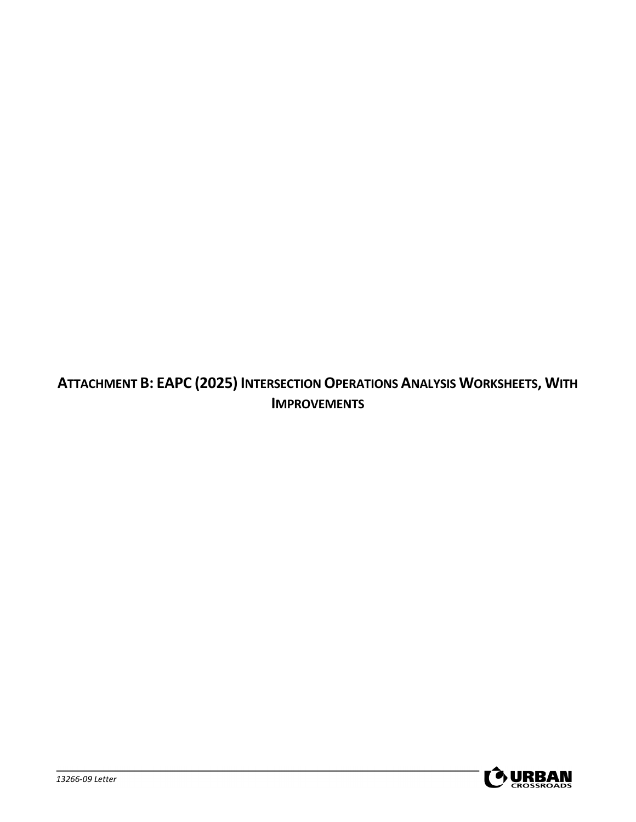**ATTACHMENT B: EAPC (2025) INTERSECTION OPERATIONS ANALYSIS WORKSHEETS, WITH IMPROVEMENTS**

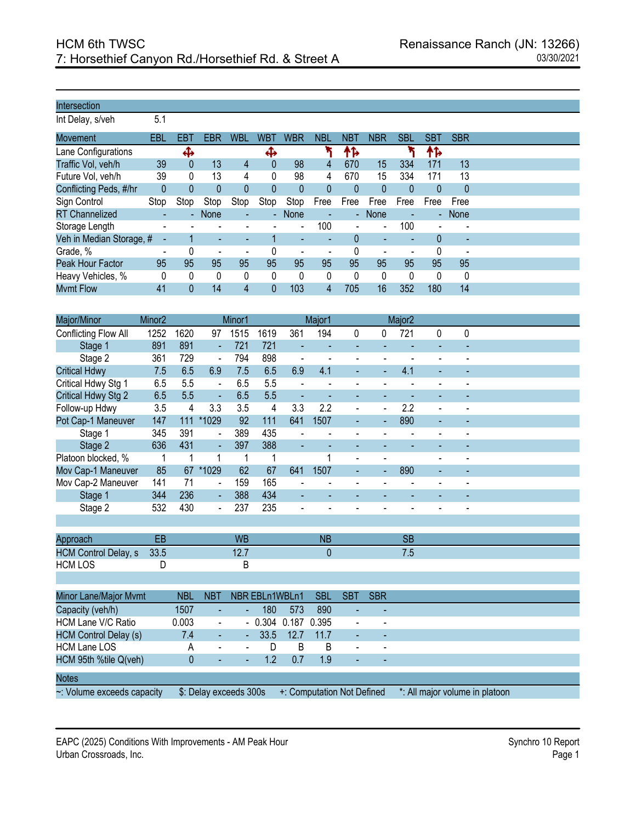Int Delay, s/veh 5.1

| Movement                 | EBL                      | EBT            | EBR                      | <b>WBL</b>               | <b>WBT</b> | WBR                      | NBL  | <b>NBT</b>     | <b>NBR</b>     | <b>SBL</b> | SBT                 | <b>SBR</b> |
|--------------------------|--------------------------|----------------|--------------------------|--------------------------|------------|--------------------------|------|----------------|----------------|------------|---------------------|------------|
| Lane Configurations      |                          | ⊕              |                          |                          | ⊕          |                          |      | ተኈ             |                |            | ተኈ                  |            |
| Traffic Vol, veh/h       | 39                       | 0              | 13                       | 4                        | 0          | 98                       | 4    | 670            | 15             | 334        | 171                 | 13         |
| Future Vol, veh/h        | 39                       | 0              | 13                       | 4                        | 0          | 98                       | 4    | 670            | 15             | 334        | 171                 | 13         |
| Conflicting Peds, #/hr   | 0                        | 0              |                          | 0                        |            | 0                        | 0    |                | 0              | $\Omega$   | 0                   | 0          |
| Sign Control             | Stop                     | Stop           | Stop                     | Stop                     | Stop       | Stop                     | Free | Free           | Free           | Free       | Free                | Free       |
| <b>RT</b> Channelized    |                          | $\blacksquare$ | <b>None</b>              | ٠                        | ÷.         | None                     |      | $\blacksquare$ | None           |            | $\omega_{\rm{eff}}$ | None       |
| Storage Length           |                          |                |                          |                          |            | $\overline{\phantom{a}}$ | 100  |                | $\blacksquare$ | 100        |                     |            |
| Veh in Median Storage, # |                          |                | ٠                        | ٠                        |            | ۰                        |      |                |                |            | $\Omega$            | ٠          |
| Grade, %                 | $\overline{\phantom{a}}$ |                | $\overline{\phantom{a}}$ | $\overline{\phantom{a}}$ |            |                          |      |                |                |            | 0                   |            |
| Peak Hour Factor         | 95                       | 95             | 95                       | 95                       | 95         | 95                       | 95   | 95             | 95             | 95         | 95                  | 95         |
| Heavy Vehicles, %        | 0                        | 0              | 0                        | 0                        | 0          | 0                        | 0    | 0              |                | 0          | $\Omega$            | 0          |
| <b>Mvmt Flow</b>         | 41                       |                | 14                       | 4                        | 0          | 103                      | 4    | 705            | 16             | 352        | 180                 | 14         |

| Major/Minor                  | Minor <sub>2</sub> |                                                |                | Minor1                   |                |                          | Major1     |                |                          | Major <sub>2</sub> |   |   |  |  |
|------------------------------|--------------------|------------------------------------------------|----------------|--------------------------|----------------|--------------------------|------------|----------------|--------------------------|--------------------|---|---|--|--|
| Conflicting Flow All         | 1252               | 1620                                           | 97             | 1515                     | 1619           | 361                      | 194        | 0              | 0                        | 721                | 0 | 0 |  |  |
| Stage 1                      | 891                | 891                                            | ä,             | 721                      | 721            |                          |            |                |                          |                    |   |   |  |  |
| Stage 2                      | 361                | 729                                            | $\blacksquare$ | 794                      | 898            | $\overline{\phantom{a}}$ | L          | ÷,             |                          |                    |   |   |  |  |
| <b>Critical Hdwy</b>         | 7.5                | 6.5                                            | 6.9            | 7.5                      | 6.5            | 6.9                      | 4.1        | L,             |                          | 4.1                |   |   |  |  |
| Critical Hdwy Stg 1          | 6.5                | 5.5                                            | $\blacksquare$ | 6.5                      | 5.5            | L.                       |            | L,             |                          |                    |   |   |  |  |
| Critical Hdwy Stg 2          | 6.5                | 5.5                                            | $\blacksquare$ | 6.5                      | 5.5            | ÷                        |            |                |                          |                    |   |   |  |  |
| Follow-up Hdwy               | 3.5                | 4                                              | 3.3            | 3.5                      | 4              | 3.3                      | 2.2        | L,             | $\overline{\phantom{a}}$ | 2.2                |   |   |  |  |
| Pot Cap-1 Maneuver           | 147                | 111                                            | *1029          | 92                       | 111            | 641                      | 1507       |                |                          | 890                |   |   |  |  |
| Stage 1                      | 345                | 391                                            | $\overline{a}$ | 389                      | 435            |                          |            |                |                          |                    |   |   |  |  |
| Stage 2                      | 636                | 431                                            | $\blacksquare$ | 397                      | 388            | ä,                       |            |                |                          |                    |   |   |  |  |
| Platoon blocked, %           |                    |                                                | 1              | 1                        | 1              |                          | 1          |                |                          |                    |   |   |  |  |
| Mov Cap-1 Maneuver           | 85                 | 67                                             | *1029          | 62                       | 67             | 641                      | 1507       |                |                          | 890                |   |   |  |  |
| Mov Cap-2 Maneuver           | 141                | 71                                             | $\overline{a}$ | 159                      | 165            |                          |            |                |                          |                    |   |   |  |  |
| Stage 1                      | 344                | 236                                            | $\blacksquare$ | 388                      | 434            | ٠                        |            |                |                          |                    |   |   |  |  |
| Stage 2                      | 532                | 430                                            |                | 237                      | 235            |                          |            |                |                          |                    |   |   |  |  |
|                              |                    |                                                |                |                          |                |                          |            |                |                          |                    |   |   |  |  |
| Approach                     | EB                 |                                                |                | <b>WB</b>                |                |                          | <b>NB</b>  |                |                          | <b>SB</b>          |   |   |  |  |
| <b>HCM Control Delay, s</b>  | 33.5               |                                                |                | 12.7                     |                |                          | 0          |                |                          | 7.5                |   |   |  |  |
| <b>HCM LOS</b>               | D                  |                                                |                | В                        |                |                          |            |                |                          |                    |   |   |  |  |
|                              |                    |                                                |                |                          |                |                          |            |                |                          |                    |   |   |  |  |
| Minor Lane/Major Mvmt        |                    | <b>NBL</b>                                     | <b>NBT</b>     |                          | NBR EBLn1WBLn1 |                          | <b>SBL</b> | <b>SBT</b>     | <b>SBR</b>               |                    |   |   |  |  |
| Capacity (veh/h)             |                    | 1507                                           |                |                          | 180            | 573                      | 890        |                |                          |                    |   |   |  |  |
| <b>HCM Lane V/C Ratio</b>    |                    | 0.003                                          | ä,             | $\blacksquare$           | 0.304          | 0.187                    | 0.395      |                |                          |                    |   |   |  |  |
| <b>HCM Control Delay (s)</b> |                    | 7.4                                            | ÷              | $\blacksquare$           | 33.5           | 12.7                     | 11.7       |                |                          |                    |   |   |  |  |
| <b>HCM Lane LOS</b>          |                    | A                                              | ä,             | $\overline{\phantom{a}}$ | D              | B                        | B          | $\blacksquare$ |                          |                    |   |   |  |  |
| HCM 95th %tile Q(veh)        |                    | $\overline{0}$                                 |                |                          | 1.2            | 0.7                      | 1.9        |                |                          |                    |   |   |  |  |
|                              |                    |                                                |                |                          |                |                          |            |                |                          |                    |   |   |  |  |
| <b>Notes</b><br>$\mathbf{v}$ | $\mathbf{r}_1$     | $\mathbf{A} \quad \mathbf{B} \quad \mathbf{I}$ |                | $\overline{1}$ 000       |                | $\sim$                   |            |                |                          |                    |   |   |  |  |

~: Volume exceeds capacity \$: Delay exceeds 300s +: Computation Not Defined \*: All major volume in platoon

EAPC (2025) Conditions With Improvements - AM Peak Hour Synchro 10 Report Synchro 10 Report Urban Crossroads, Inc. Page 1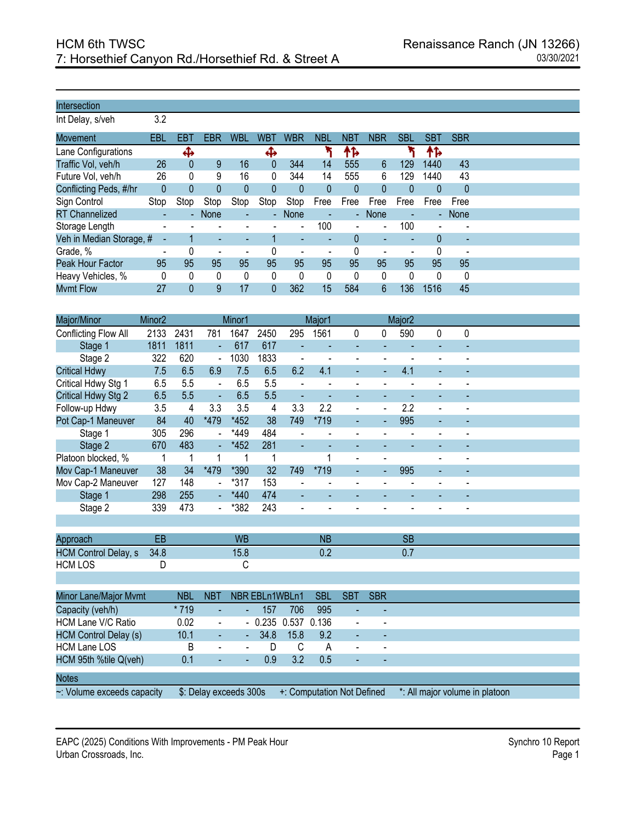Int Delay, s/veh 3.2

| Movement                 | EBL                      | EBT                      | <b>EBR</b>               | WBL            | <b>WBT</b> | <b>WBR</b>               | <b>NBL</b> | <b>NBT</b> | <b>NBR</b>     | <b>SBL</b> | <b>SBT</b> | <b>SBR</b>               |
|--------------------------|--------------------------|--------------------------|--------------------------|----------------|------------|--------------------------|------------|------------|----------------|------------|------------|--------------------------|
| Lane Configurations      |                          | ⊕                        |                          |                | Ф          |                          |            | ቶኈ         |                |            | ቶኈ         |                          |
| Traffic Vol, veh/h       | 26                       | 0                        | 9                        | 16             | 0          | 344                      | 14         | 555        | 6              | 129        | 1440       | 43                       |
| Future Vol, veh/h        | 26                       | 0                        | 9                        | 16             | 0          | 344                      | 14         | 555        | 6              | 129        | 1440       | 43                       |
| Conflicting Peds, #/hr   | $\theta$                 | 0                        | 0                        | $\theta$       | 0          | 0                        | 0          | 0          |                | 0          | 0          | $\mathbf 0$              |
| Sign Control             | Stop                     | Stop                     | Stop                     | Stop           | Stop       | Stop                     | Free       | Free       | Free           | Free       | Free       | Free                     |
| <b>RT</b> Channelized    |                          | $\overline{\phantom{a}}$ | None                     | $\blacksquare$ | ÷.         | None                     |            | $\sim$     | <b>None</b>    |            |            | - None                   |
| Storage Length           | $\overline{\phantom{a}}$ |                          |                          |                |            | $\blacksquare$           | 100        |            | $\blacksquare$ | 100        |            |                          |
| Veh in Median Storage, # |                          |                          | ٠                        | ٠              |            | $\overline{\phantom{a}}$ |            |            | ۰              |            | 0          | $\overline{\phantom{a}}$ |
| Grade, %                 | $\overline{\phantom{a}}$ |                          | $\overline{\phantom{a}}$ | $\blacksquare$ |            | -                        |            |            |                |            | 0          |                          |
| Peak Hour Factor         | 95                       | 95                       | 95                       | 95             | 95         | 95                       | 95         | 95         | 95             | 95         | 95         | 95                       |
| Heavy Vehicles, %        | 0                        | 0                        | 0                        | 0              | $\Omega$   | 0                        | 0          | $\Omega$   | $\Omega$       | $\Omega$   | 0          | 0                        |
| <b>Mvmt Flow</b>         | 27                       | 0                        | 9                        | 17             | 0          | 362                      | 15         | 584        | 6              | 136        | 1516       | 45                       |

| Major/Minor                  | Minor <sub>2</sub> |            |                              | Minor1         |                |       | Major1                     |                |                | Major <sub>2</sub> |                                |   |  |  |
|------------------------------|--------------------|------------|------------------------------|----------------|----------------|-------|----------------------------|----------------|----------------|--------------------|--------------------------------|---|--|--|
| Conflicting Flow All         | 2133               | 2431       | 781                          | 1647           | 2450           | 295   | 1561                       | 0              | 0              | 590                | 0                              | 0 |  |  |
| Stage 1                      | 1811               | 1811       | ÷,                           | 617            | 617            |       |                            | $\blacksquare$ |                |                    | ä,                             |   |  |  |
| Stage 2                      | 322                | 620        | $\frac{1}{2}$                | 1030           | 1833           |       |                            | ÷,             | $\overline{a}$ |                    | $\overline{a}$                 |   |  |  |
| <b>Critical Hdwy</b>         | 7.5                | 6.5        | 6.9                          | 7.5            | 6.5            | 6.2   | 4.1                        |                |                | 4.1                | L,                             |   |  |  |
| Critical Hdwy Stg 1          | 6.5                | 5.5        | $\blacksquare$               | 6.5            | 5.5            |       |                            | $\blacksquare$ |                |                    |                                |   |  |  |
| Critical Hdwy Stg 2          | 6.5                | 5.5        | ÷,                           | 6.5            | 5.5            | ÷     | ÷,                         | $\blacksquare$ | ٠              |                    | ä,                             |   |  |  |
| Follow-up Hdwy               | 3.5                | 4          | 3.3                          | 3.5            | 4              | 3.3   | 2.2                        | $\overline{a}$ | $\overline{a}$ | 2.2                |                                |   |  |  |
| Pot Cap-1 Maneuver           | 84                 | 40         | *479                         | *452           | 38             | 749   | *719                       |                | Ξ              | 995                | ÷,                             |   |  |  |
| Stage 1                      | 305                | 296        | $\overline{a}$               | *449           | 484            |       |                            |                |                |                    |                                |   |  |  |
| Stage 2                      | 670                | 483        | 4                            | *452           | 281            |       |                            |                |                |                    |                                |   |  |  |
| Platoon blocked, %           |                    | 1          | 1                            | 1              | 1              |       | 1                          | $\blacksquare$ | $\blacksquare$ |                    | $\blacksquare$                 |   |  |  |
| Mov Cap-1 Maneuver           | 38                 | 34         | *479                         | *390           | 32             | 749   | *719                       |                | ÷,             | 995                | ä,                             |   |  |  |
| Mov Cap-2 Maneuver           | 127                | 148        | $\frac{1}{2}$                | $*317$         | 153            |       |                            | ÷,             |                |                    | $\overline{a}$                 |   |  |  |
| Stage 1                      | 298                | 255        | ÷,                           | *440           | 474            |       |                            |                |                |                    |                                |   |  |  |
| Stage 2                      | 339                | 473        | -                            | *382           | 243            |       |                            |                |                |                    |                                |   |  |  |
|                              |                    |            |                              |                |                |       |                            |                |                |                    |                                |   |  |  |
| Approach                     | EB                 |            |                              | <b>WB</b>      |                |       | <b>NB</b>                  |                |                | <b>SB</b>          |                                |   |  |  |
| <b>HCM Control Delay, s</b>  | 34.8               |            |                              | 15.8           |                |       | 0.2                        |                |                | 0.7                |                                |   |  |  |
| <b>HCM LOS</b>               | D                  |            |                              | С              |                |       |                            |                |                |                    |                                |   |  |  |
|                              |                    |            |                              |                |                |       |                            |                |                |                    |                                |   |  |  |
|                              |                    |            |                              |                |                |       |                            |                |                |                    |                                |   |  |  |
| Minor Lane/Major Mvmt        |                    | <b>NBL</b> | <b>NBT</b>                   |                | NBR EBLn1WBLn1 |       | <b>SBL</b>                 | <b>SBT</b>     | <b>SBR</b>     |                    |                                |   |  |  |
| Capacity (veh/h)             |                    | * 719      | L,                           |                | 157            | 706   | 995                        |                |                |                    |                                |   |  |  |
| <b>HCM Lane V/C Ratio</b>    |                    | 0.02       | $\qquad \qquad \blacksquare$ | $\blacksquare$ | 0.235          | 0.537 | 0.136                      | $\blacksquare$ | $\blacksquare$ |                    |                                |   |  |  |
| <b>HCM Control Delay (s)</b> |                    | 10.1       | ä,                           | ÷,             | 34.8           | 15.8  | 9.2                        | L.             | $\bar{a}$      |                    |                                |   |  |  |
| <b>HCM Lane LOS</b>          |                    | B          |                              | $\blacksquare$ | D              | C     | А                          | $\overline{a}$ |                |                    |                                |   |  |  |
| HCM 95th %tile Q(veh)        |                    | 0.1        |                              |                | 0.9            | 3.2   | 0.5                        |                |                |                    |                                |   |  |  |
| <b>Notes</b>                 |                    |            |                              |                |                |       |                            |                |                |                    |                                |   |  |  |
| ~: Volume exceeds capacity   |                    |            | \$: Delay exceeds 300s       |                |                |       | +: Computation Not Defined |                |                |                    | *: All major volume in platoon |   |  |  |

EAPC (2025) Conditions With Improvements - PM Peak Hour Synchro 10 Report Synchro 10 Report Urban Crossroads, Inc. Page 1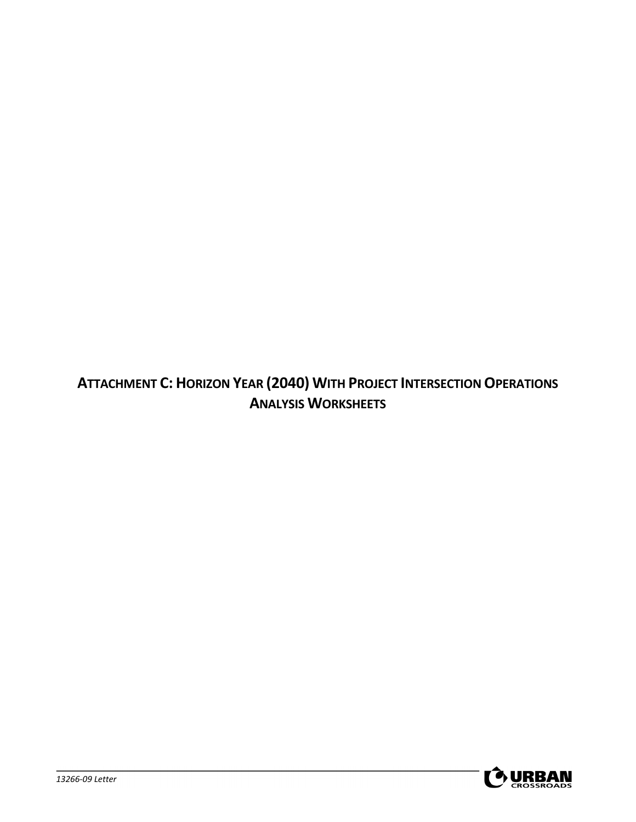**ATTACHMENT C: HORIZON YEAR (2040) WITH PROJECT INTERSECTION OPERATIONS ANALYSIS WORKSHEETS**

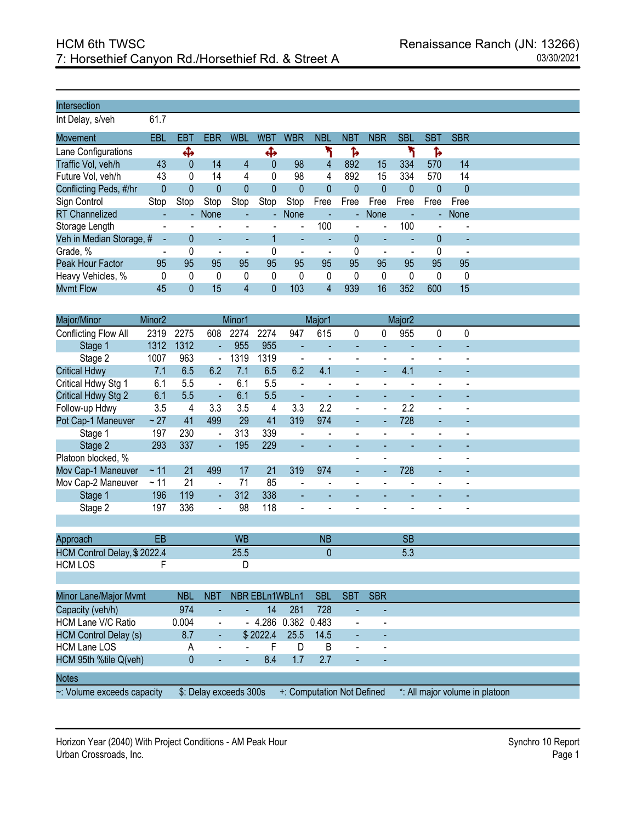Int Delay, s/veh 61.7

| <b>Movement</b>          | EBL             | EBT  | EBR            | <b>WBL</b>               | <b>WBT</b>    | <b>WBR</b>               | <b>NBL</b> | <b>NBT</b>                  | <b>NBR</b>     | <b>SBL</b>               | <b>SBT</b> | <b>SBR</b>               |
|--------------------------|-----------------|------|----------------|--------------------------|---------------|--------------------------|------------|-----------------------------|----------------|--------------------------|------------|--------------------------|
| Lane Configurations      |                 | ቆ    |                |                          | Ф             |                          |            |                             |                |                          | ъ          |                          |
| Traffic Vol, veh/h       | 43              | 0    | 14             | 4                        | $\theta$      | 98                       | 4          | 892                         | 15             | 334                      | 570        | 14                       |
| Future Vol, veh/h        | 43              | 0    | 14             | 4                        | 0             | 98                       | 4          | 892                         | 15             | 334                      | 570        | 14                       |
| Conflicting Peds, #/hr   | 0               | 0    |                | 0                        | 0             | 0                        | 0          |                             | $\mathbf{0}$   | $\mathbf{0}$             | 0          | $\theta$                 |
| Sign Control             | Stop            | Stop | Stop           | Stop                     | Stop          | Stop                     | Free       | Free                        | Free           | Free                     | Free       | Free                     |
| <b>RT Channelized</b>    | $\sim$          | ٠    | None           | ٠                        | $\Delta \phi$ | None                     | $\sim$     | $\mathcal{L}_{\mathcal{A}}$ | None           | $\overline{\phantom{a}}$ |            | - None                   |
| Storage Length           |                 |      |                |                          |               | $\overline{\phantom{a}}$ | 100        |                             | $\blacksquare$ | 100                      |            |                          |
| Veh in Median Storage, # |                 |      | ٠              | ٠                        |               | $\overline{\phantom{a}}$ |            |                             | ٠              |                          | 0          | $\sim$                   |
| Grade, %                 | $\qquad \qquad$ |      | $\blacksquare$ | $\overline{\phantom{a}}$ | 0             | ٠                        | ٠          |                             | ÷              |                          | 0          | $\overline{\phantom{0}}$ |
| Peak Hour Factor         | 95              | 95   | 95             | 95                       | 95            | 95                       | 95         | 95                          | 95             | 95                       | 95         | 95                       |
| Heavy Vehicles, %        | 0               | 0    | 0              | 0                        | 0             | 0                        | 0          | 0                           | 0              | 0                        | 0          | 0                        |
| <b>Mvmt Flow</b>         | 45              |      | 15             | 4                        | 0             | 103                      | 4          | 939                         | 16             | 352                      | 600        | 15                       |

| Major/Minor                  | Minor <sub>2</sub> |              |                              | Minor1         |                |                          | Major1         |                              |                | Major <sub>2</sub> |   |                |  |
|------------------------------|--------------------|--------------|------------------------------|----------------|----------------|--------------------------|----------------|------------------------------|----------------|--------------------|---|----------------|--|
| Conflicting Flow All         | 2319               | 2275         | 608                          | 2274           | 2274           | 947                      | 615            | 0                            | 0              | 955                | 0 | 0              |  |
| Stage 1                      | 1312               | 1312         |                              | 955            | 955            | $\overline{a}$           |                |                              |                |                    |   |                |  |
| Stage 2                      | 1007               | 963          | $\overline{a}$               | 1319           | 1319           | $\overline{\phantom{a}}$ | $\blacksquare$ | $\frac{1}{2}$                | $\blacksquare$ |                    |   |                |  |
| <b>Critical Hdwy</b>         | 7.1                | 6.5          | 6.2                          | 7.1            | 6.5            | 6.2                      | 4.1            |                              |                | 4.1                |   |                |  |
| Critical Hdwy Stg 1          | 6.1                | 5.5          | L,                           | 6.1            | 5.5            | ä,                       |                | $\blacksquare$               |                |                    |   |                |  |
| Critical Hdwy Stg 2          | 6.1                | 5.5          | ÷,                           | 6.1            | 5.5            | $\blacksquare$           | ٠              |                              |                |                    |   |                |  |
| Follow-up Hdwy               | 3.5                | 4            | 3.3                          | 3.5            | 4              | 3.3                      | 2.2            | $\blacksquare$               | $\blacksquare$ | 2.2                |   |                |  |
| Pot Cap-1 Maneuver           | $\sim 27$          | 41           | 499                          | 29             | 41             | 319                      | 974            |                              | ä,             | 728                |   |                |  |
| Stage 1                      | 197                | 230          | $\blacksquare$               | 313            | 339            | $\overline{a}$           |                | $\overline{\phantom{a}}$     |                |                    |   |                |  |
| Stage 2                      | 293                | 337          | ÷,                           | 195            | 229            |                          |                |                              |                |                    |   |                |  |
| Platoon blocked, %           |                    |              |                              |                |                |                          |                | $\overline{\phantom{a}}$     | $\blacksquare$ |                    |   |                |  |
| Mov Cap-1 Maneuver           | ~11                | 21           | 499                          | 17             | 21             | 319                      | 974            |                              | ÷,             | 728                |   |                |  |
| Mov Cap-2 Maneuver           | ~11                | 21           | $\qquad \qquad \blacksquare$ | 71             | 85             | $\overline{\phantom{a}}$ | $\blacksquare$ | $\qquad \qquad \blacksquare$ | $\blacksquare$ |                    |   | $\blacksquare$ |  |
| Stage 1                      | 196                | 119          | ÷,                           | 312            | 338            |                          |                |                              |                |                    |   |                |  |
| Stage 2                      | 197                | 336          | $\frac{1}{2}$                | 98             | 118            | $\overline{a}$           |                |                              |                |                    |   |                |  |
|                              |                    |              |                              |                |                |                          |                |                              |                |                    |   |                |  |
| Approach                     | EB                 |              |                              | <b>WB</b>      |                |                          | <b>NB</b>      |                              |                | <b>SB</b>          |   |                |  |
| HCM Control Delay, \$2022.4  |                    |              |                              | 25.5           |                |                          | $\mathbf{0}$   |                              |                | 5.3                |   |                |  |
| <b>HCM LOS</b>               | F                  |              |                              | D              |                |                          |                |                              |                |                    |   |                |  |
|                              |                    |              |                              |                |                |                          |                |                              |                |                    |   |                |  |
| Minor Lane/Major Mvmt        |                    | <b>NBL</b>   | <b>NBT</b>                   |                | NBR EBLn1WBLn1 |                          | <b>SBL</b>     | <b>SBT</b>                   | <b>SBR</b>     |                    |   |                |  |
| Capacity (veh/h)             |                    | 974          |                              |                | 14             | 281                      | 728            |                              |                |                    |   |                |  |
| HCM Lane V/C Ratio           |                    | 0.004        | $\frac{1}{2}$                | $\blacksquare$ | 4.286          | 0.382                    | 0.483          | $\blacksquare$               | $\blacksquare$ |                    |   |                |  |
| <b>HCM Control Delay (s)</b> |                    | 8.7          | ÷,                           |                | \$2022.4       | 25.5                     | 14.5           |                              |                |                    |   |                |  |
| <b>HCM Lane LOS</b>          |                    | А            | $\overline{\phantom{m}}$     |                | F              | D                        | B              | $\blacksquare$               |                |                    |   |                |  |
| HCM 95th %tile Q(veh)        |                    | $\mathbf{0}$ |                              |                | 8.4            | 1.7                      | 2.7            |                              |                |                    |   |                |  |
| <b>Notes</b>                 |                    |              |                              |                |                |                          |                |                              |                |                    |   |                |  |

~: Volume exceeds capacity \$: Delay exceeds 300s +: Computation Not Defined \*: All major volume in platoon

Horizon Year (2040) With Project Conditions - AM Peak Hour Synchro 10 Report Synchro 10 Report Urban Crossroads, Inc. Page 1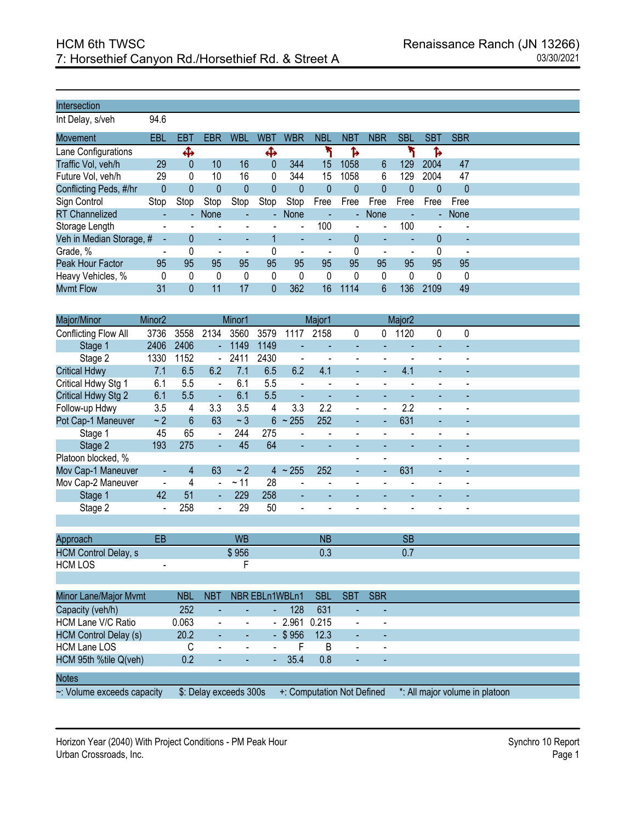Int Delay, s/veh 94.6

| EBT<br>Lane Configurations<br>Ф<br>Ъ<br>⊕<br>Traffic Vol, veh/h<br>16<br>344<br>29<br>15<br>47<br>1058<br>6<br>129<br>2004<br>10<br>0<br>0<br>Future Vol, veh/h<br>16<br>344<br>1058<br>2004<br>47<br>29<br>0<br>0<br>10<br>15<br>6<br>129<br>Conflicting Peds, #/hr<br>$\theta$<br>$\theta$<br>$\theta$<br>0<br>$\mathbf 0$<br>0<br>0<br>0<br>0<br>0<br>Sign Control<br>Stop<br>Stop<br>Stop<br>Free<br>Free<br>Stop<br>Stop<br>Stop<br>Free<br>Free<br>Free<br>Free<br><b>RT Channelized</b><br>None<br>None<br><b>None</b><br>- None<br>$\sim$<br>$\sim$<br>٠<br>$\blacksquare$<br>100<br>100<br>Storage Length<br>$\blacksquare$<br>$\blacksquare$<br>$\overline{\phantom{a}}$<br>Veh in Median Storage, #<br>0<br>0<br>٠<br>٠<br>$\overline{\phantom{a}}$<br>$\overline{\phantom{a}}$<br>$\overline{\phantom{a}}$<br>٠<br>Grade, %<br>0<br>0<br>$\overline{\phantom{a}}$<br>$\overline{\phantom{a}}$<br>$\overline{\phantom{0}}$<br>-<br>95<br>95<br>95<br>95<br>95<br>95<br>95<br>95<br>95<br>Peak Hour Factor<br>95<br>95<br>95<br>Heavy Vehicles, %<br>0<br>0<br>0<br>0<br>0<br>0<br>$\Omega$<br>0<br>0<br>0<br>0<br>$\Omega$ |                  |     |     |            |            |            |            |            |            |            |            |            |
|---------------------------------------------------------------------------------------------------------------------------------------------------------------------------------------------------------------------------------------------------------------------------------------------------------------------------------------------------------------------------------------------------------------------------------------------------------------------------------------------------------------------------------------------------------------------------------------------------------------------------------------------------------------------------------------------------------------------------------------------------------------------------------------------------------------------------------------------------------------------------------------------------------------------------------------------------------------------------------------------------------------------------------------------------------------------------------------------------------------------------------------|------------------|-----|-----|------------|------------|------------|------------|------------|------------|------------|------------|------------|
|                                                                                                                                                                                                                                                                                                                                                                                                                                                                                                                                                                                                                                                                                                                                                                                                                                                                                                                                                                                                                                                                                                                                       | Movement         | EBL | EBR | <b>WBL</b> | <b>WBT</b> | <b>WBR</b> | <b>NBL</b> | <b>NBT</b> | <b>NBR</b> | <b>SBL</b> | <b>SBT</b> | <b>SBR</b> |
|                                                                                                                                                                                                                                                                                                                                                                                                                                                                                                                                                                                                                                                                                                                                                                                                                                                                                                                                                                                                                                                                                                                                       |                  |     |     |            |            |            |            |            |            |            |            |            |
|                                                                                                                                                                                                                                                                                                                                                                                                                                                                                                                                                                                                                                                                                                                                                                                                                                                                                                                                                                                                                                                                                                                                       |                  |     |     |            |            |            |            |            |            |            |            |            |
|                                                                                                                                                                                                                                                                                                                                                                                                                                                                                                                                                                                                                                                                                                                                                                                                                                                                                                                                                                                                                                                                                                                                       |                  |     |     |            |            |            |            |            |            |            |            |            |
|                                                                                                                                                                                                                                                                                                                                                                                                                                                                                                                                                                                                                                                                                                                                                                                                                                                                                                                                                                                                                                                                                                                                       |                  |     |     |            |            |            |            |            |            |            |            |            |
|                                                                                                                                                                                                                                                                                                                                                                                                                                                                                                                                                                                                                                                                                                                                                                                                                                                                                                                                                                                                                                                                                                                                       |                  |     |     |            |            |            |            |            |            |            |            |            |
|                                                                                                                                                                                                                                                                                                                                                                                                                                                                                                                                                                                                                                                                                                                                                                                                                                                                                                                                                                                                                                                                                                                                       |                  |     |     |            |            |            |            |            |            |            |            |            |
|                                                                                                                                                                                                                                                                                                                                                                                                                                                                                                                                                                                                                                                                                                                                                                                                                                                                                                                                                                                                                                                                                                                                       |                  |     |     |            |            |            |            |            |            |            |            |            |
|                                                                                                                                                                                                                                                                                                                                                                                                                                                                                                                                                                                                                                                                                                                                                                                                                                                                                                                                                                                                                                                                                                                                       |                  |     |     |            |            |            |            |            |            |            |            |            |
|                                                                                                                                                                                                                                                                                                                                                                                                                                                                                                                                                                                                                                                                                                                                                                                                                                                                                                                                                                                                                                                                                                                                       |                  |     |     |            |            |            |            |            |            |            |            |            |
|                                                                                                                                                                                                                                                                                                                                                                                                                                                                                                                                                                                                                                                                                                                                                                                                                                                                                                                                                                                                                                                                                                                                       |                  |     |     |            |            |            |            |            |            |            |            |            |
|                                                                                                                                                                                                                                                                                                                                                                                                                                                                                                                                                                                                                                                                                                                                                                                                                                                                                                                                                                                                                                                                                                                                       |                  |     |     |            |            |            |            |            |            |            |            |            |
| 0                                                                                                                                                                                                                                                                                                                                                                                                                                                                                                                                                                                                                                                                                                                                                                                                                                                                                                                                                                                                                                                                                                                                     | <b>Mvmt Flow</b> | 31  | 11  | 17         | 0          | 362        | 16         | 1114       | 6          | 136        | 2109       | 49         |

| Major/Minor                 | Minor <sub>2</sub> |            |                          | Minor1         |                          |                | Major1     |                          |               | Major <sub>2</sub> |   |   |  |
|-----------------------------|--------------------|------------|--------------------------|----------------|--------------------------|----------------|------------|--------------------------|---------------|--------------------|---|---|--|
| Conflicting Flow All        | 3736               | 3558       | 2134                     | 3560           | 3579                     | 1117           | 2158       | 0                        | 0             | 1120               | 0 | 0 |  |
| Stage 1                     | 2406               | 2406       | L,                       | 1149           | 1149                     |                |            |                          |               |                    |   |   |  |
| Stage 2                     | 1330               | 1152       | $\overline{\phantom{a}}$ | 2411           | 2430                     |                |            | $\overline{\phantom{0}}$ |               |                    |   |   |  |
| <b>Critical Hdwy</b>        | 7.1                | 6.5        | 6.2                      | 7.1            | 6.5                      | 6.2            | 4.1        |                          |               | 4.1                |   |   |  |
| Critical Hdwy Stg 1         | 6.1                | 5.5        | $\blacksquare$           | 6.1            | 5.5                      |                |            |                          |               |                    |   |   |  |
| Critical Hdwy Stg 2         | 6.1                | 5.5        |                          | 6.1            | 5.5                      |                |            |                          |               |                    |   |   |  |
| Follow-up Hdwy              | 3.5                | 4          | 3.3                      | 3.5            | 4                        | 3.3            | 2.2        | $\blacksquare$           | $\frac{1}{2}$ | 2.2                |   |   |  |
| Pot Cap-1 Maneuver          | ~2                 | 6          | 63                       | ~1             | $6\phantom{a}$           | ~255           | 252        |                          |               | 631                |   |   |  |
| Stage 1                     | 45                 | 65         | $\blacksquare$           | 244            | 275                      |                |            |                          |               |                    |   |   |  |
| Stage 2                     | 193                | 275        | L,                       | 45             | 64                       |                |            |                          |               |                    |   |   |  |
| Platoon blocked, %          |                    |            |                          |                |                          |                |            |                          |               |                    |   |   |  |
| Mov Cap-1 Maneuver          | $\blacksquare$     | 4          | 63                       | ~2             | $\overline{4}$           | ~255           | 252        |                          | ٠             | 631                |   |   |  |
| Mov Cap-2 Maneuver          | $\blacksquare$     | 4          | $\overline{\phantom{a}}$ | ~11            | 28                       |                |            |                          |               |                    |   |   |  |
| Stage 1                     | 42                 | 51         | ä,                       | 229            | 258                      | $\blacksquare$ |            |                          |               |                    |   |   |  |
| Stage 2                     |                    | 258        | $\overline{a}$           | 29             | 50                       |                |            |                          |               |                    |   |   |  |
|                             |                    |            |                          |                |                          |                |            |                          |               |                    |   |   |  |
| Approach                    | EB                 |            |                          | <b>WB</b>      |                          |                | <b>NB</b>  |                          |               | <b>SB</b>          |   |   |  |
| <b>HCM Control Delay, s</b> |                    |            |                          | \$956          |                          |                | 0.3        |                          |               | 0.7                |   |   |  |
| <b>HCM LOS</b>              |                    |            |                          | F              |                          |                |            |                          |               |                    |   |   |  |
|                             |                    |            |                          |                |                          |                |            |                          |               |                    |   |   |  |
| Minor Lane/Major Mvmt       |                    | <b>NBL</b> | <b>NBT</b>               |                | NBR EBLn1WBLn1           |                | <b>SBL</b> | <b>SBT</b>               | <b>SBR</b>    |                    |   |   |  |
| Capacity (veh/h)            |                    | 252        |                          |                |                          | 128            | 631        |                          |               |                    |   |   |  |
| <b>HCM Lane V/C Ratio</b>   |                    | 0.063      |                          | $\overline{a}$ | $\overline{\phantom{0}}$ | 2.961          | 0.215      | ۰                        |               |                    |   |   |  |

| HCM Lane LOS               | $\sim$ | <b>Service Contracts</b> | $\sim$ |         | $\blacksquare$                                        | $\overline{\phantom{a}}$ |                                |
|----------------------------|--------|--------------------------|--------|---------|-------------------------------------------------------|--------------------------|--------------------------------|
| HCM 95th %tile Q(veh)      | $\sim$ | <b>Service Contracts</b> |        | $-35.4$ | $\sim$                                                | $\overline{\phantom{a}}$ |                                |
| <b>Notes</b>               |        |                          |        |         |                                                       |                          |                                |
|                            |        |                          |        |         |                                                       |                          |                                |
| ~: Volume exceeds capacity |        |                          |        |         | $$:$ Delay exceeds 300s $+$ : Computation Not Defined |                          | *: All major volume in platoon |

Horizon Year (2040) With Project Conditions - PM Peak Hour Synchro 10 Report Synchro 10 Report Urban Crossroads, Inc. Page 1

HCM Control Delay (s) 20.2 - - - \$956 12.3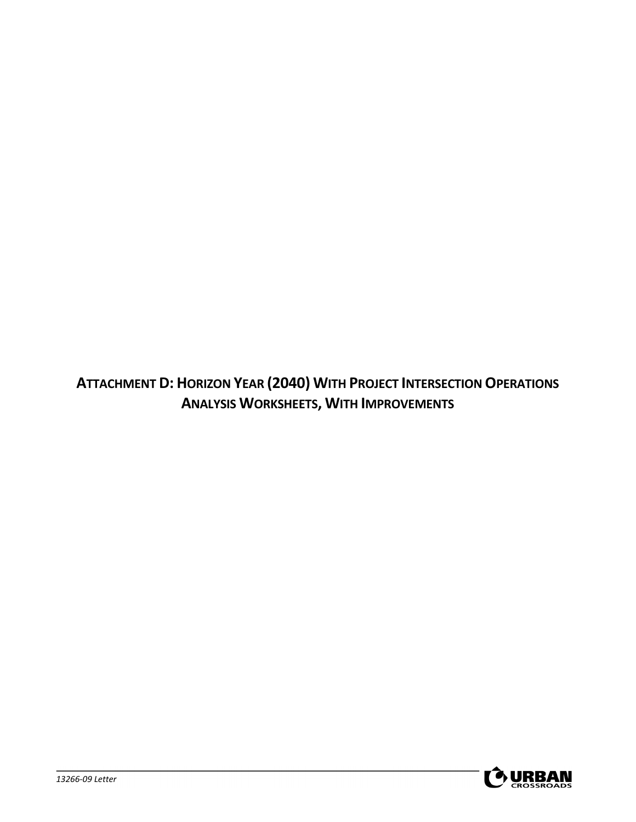**ATTACHMENT D: HORIZON YEAR (2040) WITH PROJECT INTERSECTION OPERATIONS ANALYSIS WORKSHEETS, WITH IMPROVEMENTS**

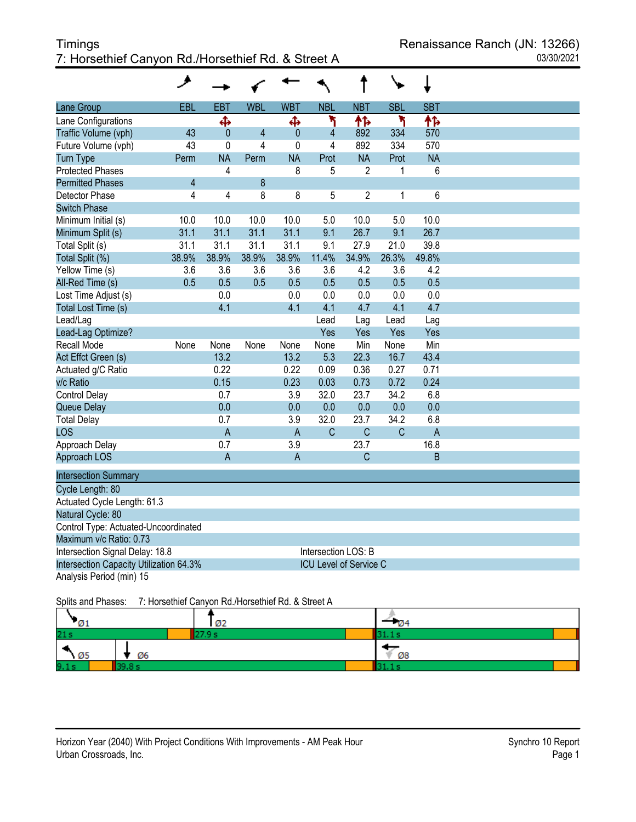# Timings **The Europe Contract Contract Contract Contract Contract Contract Contract Contract Contract Contract Contract Contract Contract Contract Contract Contract Contract Contract Contract Contract Contract Contract Cont** 7: Horsethief Canyon Rd./Horsethief Rd. & Street A 03/30/2021

|                                         | ۸              |                         |                |                |                               |                |              |                |  |
|-----------------------------------------|----------------|-------------------------|----------------|----------------|-------------------------------|----------------|--------------|----------------|--|
| Lane Group                              | EBL            | <b>EBT</b>              | <b>WBL</b>     | <b>WBT</b>     | <b>NBL</b>                    | <b>NBT</b>     | <b>SBL</b>   | <b>SBT</b>     |  |
| Lane Configurations                     |                | Ф                       |                | Ф              | ۲                             | ቶኈ             | ۲            | 柞              |  |
| Traffic Volume (vph)                    | 43             | $\mathbf{0}$            | $\overline{4}$ | 0              | 4                             | 892            | 334          | 570            |  |
| Future Volume (vph)                     | 43             | 0                       | 4              | 0              | 4                             | 892            | 334          | 570            |  |
| <b>Turn Type</b>                        | Perm           | <b>NA</b>               | Perm           | <b>NA</b>      | Prot                          | <b>NA</b>      | Prot         | <b>NA</b>      |  |
| <b>Protected Phases</b>                 |                | 4                       |                | 8              | 5                             | $\overline{2}$ | 1            | 6              |  |
| <b>Permitted Phases</b>                 | $\overline{4}$ |                         | 8              |                |                               |                |              |                |  |
| Detector Phase                          | 4              | $\overline{\mathbf{4}}$ | 8              | 8              | 5                             | $\overline{2}$ | $\mathbf{1}$ | $6\phantom{a}$ |  |
| <b>Switch Phase</b>                     |                |                         |                |                |                               |                |              |                |  |
| Minimum Initial (s)                     | 10.0           | 10.0                    | 10.0           | 10.0           | 5.0                           | 10.0           | 5.0          | 10.0           |  |
| Minimum Split (s)                       | 31.1           | 31.1                    | 31.1           | 31.1           | 9.1                           | 26.7           | 9.1          | 26.7           |  |
| Total Split (s)                         | 31.1           | 31.1                    | 31.1           | 31.1           | 9.1                           | 27.9           | 21.0         | 39.8           |  |
| Total Split (%)                         | 38.9%          | 38.9%                   | 38.9%          | 38.9%          | 11.4%                         | 34.9%          | 26.3%        | 49.8%          |  |
| Yellow Time (s)                         | 3.6            | 3.6                     | 3.6            | 3.6            | 3.6                           | 4.2            | 3.6          | 4.2            |  |
| All-Red Time (s)                        | 0.5            | 0.5                     | 0.5            | 0.5            | 0.5                           | 0.5            | 0.5          | 0.5            |  |
| Lost Time Adjust (s)                    |                | 0.0                     |                | 0.0            | 0.0                           | 0.0            | 0.0          | 0.0            |  |
| Total Lost Time (s)                     |                | 4.1                     |                | 4.1            | 4.1                           | 4.7            | 4.1          | 4.7            |  |
| Lead/Lag                                |                |                         |                |                | Lead                          | Lag            | Lead         | Lag            |  |
| Lead-Lag Optimize?                      |                |                         |                |                | Yes                           | Yes            | Yes          | Yes            |  |
| Recall Mode                             | None           | None                    | None           | None           | None                          | Min            | None         | Min            |  |
| Act Effct Green (s)                     |                | 13.2                    |                | 13.2           | 5.3                           | 22.3           | 16.7         | 43.4           |  |
| Actuated g/C Ratio                      |                | 0.22                    |                | 0.22           | 0.09                          | 0.36           | 0.27         | 0.71           |  |
| v/c Ratio                               |                | 0.15                    |                | 0.23           | 0.03                          | 0.73           | 0.72         | 0.24           |  |
| Control Delay                           |                | 0.7                     |                | 3.9            | 32.0                          | 23.7           | 34.2         | 6.8            |  |
| Queue Delay                             |                | 0.0                     |                | 0.0            | 0.0                           | 0.0            | 0.0          | 0.0            |  |
| <b>Total Delay</b>                      |                | 0.7                     |                | 3.9            | 32.0                          | 23.7           | 34.2         | 6.8            |  |
| LOS                                     |                | $\overline{A}$          |                | $\overline{A}$ | $\mathsf{C}$                  | $\mathsf{C}$   | $\mathsf{C}$ | $\overline{A}$ |  |
| Approach Delay                          |                | 0.7                     |                | 3.9            |                               | 23.7           |              | 16.8           |  |
| Approach LOS                            |                | A                       |                | $\overline{A}$ |                               | C              |              | B              |  |
| <b>Intersection Summary</b>             |                |                         |                |                |                               |                |              |                |  |
| Cycle Length: 80                        |                |                         |                |                |                               |                |              |                |  |
| Actuated Cycle Length: 61.3             |                |                         |                |                |                               |                |              |                |  |
| Natural Cycle: 80                       |                |                         |                |                |                               |                |              |                |  |
| Control Type: Actuated-Uncoordinated    |                |                         |                |                |                               |                |              |                |  |
| Maximum v/c Ratio: 0.73                 |                |                         |                |                |                               |                |              |                |  |
| Intersection Signal Delay: 18.8         |                |                         |                |                | Intersection LOS: B           |                |              |                |  |
| Intersection Capacity Utilization 64.3% |                |                         |                |                | <b>ICU Level of Service C</b> |                |              |                |  |
| Analysis Period (min) 15                |                |                         |                |                |                               |                |              |                |  |

Splits and Phases: 7: Horsethief Canyon Rd./Horsethief Rd. & Street A

| $\mathcal{O}1$ |    | - Ø2 | $-0.4$ |  |
|----------------|----|------|--------|--|
| 21s            |    |      |        |  |
| --<br>.05      | Ø6 |      | Ø8     |  |
| 9.1s           |    |      |        |  |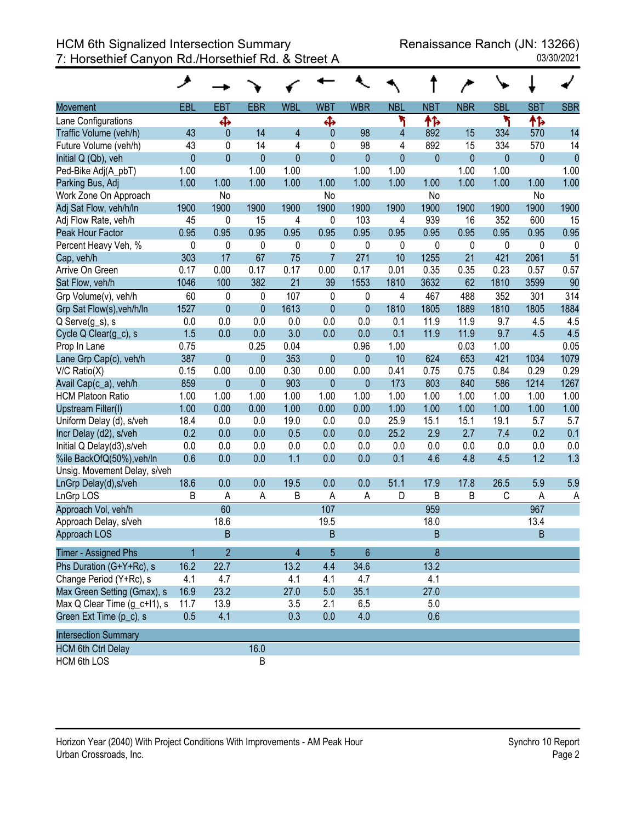|                              | ↗              |                |                |                |                |                |            |             |              |              |            |                |
|------------------------------|----------------|----------------|----------------|----------------|----------------|----------------|------------|-------------|--------------|--------------|------------|----------------|
| <b>Movement</b>              | EBL            | <b>EBT</b>     | <b>EBR</b>     | <b>WBL</b>     | <b>WBT</b>     | <b>WBR</b>     | <b>NBL</b> | <b>NBT</b>  | <b>NBR</b>   | <b>SBL</b>   | <b>SBT</b> | <b>SBR</b>     |
| Lane Configurations          |                | Ф              |                |                | Ф              |                | ۲          | ተኈ          |              | ۲            | ተኈ         |                |
| Traffic Volume (veh/h)       | 43             | $\mathbf{0}$   | 14             | 4              | $\mathbf{0}$   | 98             | 4          | 892         | 15           | 334          | 570        | 14             |
| Future Volume (veh/h)        | 43             | 0              | 14             | 4              | 0              | 98             | 4          | 892         | 15           | 334          | 570        | 14             |
| Initial Q (Qb), veh          | $\overline{0}$ | $\mathbf{0}$   | $\mathbf{0}$   | $\mathbf{0}$   | $\mathbf{0}$   | $\mathbf{0}$   | 0          | 0           | $\mathbf{0}$ | $\mathbf{0}$ | 0          | $\overline{0}$ |
| Ped-Bike Adj(A_pbT)          | 1.00           |                | 1.00           | 1.00           |                | 1.00           | 1.00       |             | 1.00         | 1.00         |            | 1.00           |
| Parking Bus, Adj             | 1.00           | 1.00           | 1.00           | 1.00           | 1.00           | 1.00           | 1.00       | 1.00        | 1.00         | 1.00         | 1.00       | 1.00           |
| Work Zone On Approach        |                | No             |                |                | No             |                |            | No          |              |              | No         |                |
| Adj Sat Flow, veh/h/ln       | 1900           | 1900           | 1900           | 1900           | 1900           | 1900           | 1900       | 1900        | 1900         | 1900         | 1900       | 1900           |
| Adj Flow Rate, veh/h         | 45             | 0              | 15             | 4              | 0              | 103            | 4          | 939         | 16           | 352          | 600        | 15             |
| Peak Hour Factor             | 0.95           | 0.95           | 0.95           | 0.95           | 0.95           | 0.95           | 0.95       | 0.95        | 0.95         | 0.95         | 0.95       | 0.95           |
| Percent Heavy Veh, %         | 0              | 0              | 0              | 0              | 0              | 0              | 0          | 0           | 0            | 0            | 0          | 0              |
| Cap, veh/h                   | 303            | 17             | 67             | 75             | $\overline{7}$ | 271            | 10         | 1255        | 21           | 421          | 2061       | 51             |
| Arrive On Green              | 0.17           | 0.00           | 0.17           | 0.17           | 0.00           | 0.17           | 0.01       | 0.35        | 0.35         | 0.23         | 0.57       | 0.57           |
| Sat Flow, veh/h              | 1046           | 100            | 382            | 21             | 39             | 1553           | 1810       | 3632        | 62           | 1810         | 3599       | 90             |
| Grp Volume(v), veh/h         | 60             | $\mathbf 0$    | 0              | 107            | $\pmb{0}$      | $\mathbf 0$    | 4          | 467         | 488          | 352          | 301        | 314            |
| Grp Sat Flow(s), veh/h/ln    | 1527           | $\mathbf{0}$   | $\overline{0}$ | 1613           | $\mathbf{0}$   | $\mathbf{0}$   | 1810       | 1805        | 1889         | 1810         | 1805       | 1884           |
| Q Serve(g_s), s              | 0.0            | 0.0            | 0.0            | 0.0            | 0.0            | 0.0            | 0.1        | 11.9        | 11.9         | 9.7          | 4.5        | 4.5            |
| Cycle Q Clear(g_c), s        | 1.5            | 0.0            | 0.0            | 3.0            | 0.0            | 0.0            | 0.1        | 11.9        | 11.9         | 9.7          | 4.5        | 4.5            |
| Prop In Lane                 | 0.75           |                | 0.25           | 0.04           |                | 0.96           | 1.00       |             | 0.03         | 1.00         |            | 0.05           |
| Lane Grp Cap(c), veh/h       | 387            | $\mathbf{0}$   | $\mathbf{0}$   | 353            | $\mathbf{0}$   | $\mathbf{0}$   | 10         | 624         | 653          | 421          | 1034       | 1079           |
| $V/C$ Ratio $(X)$            | 0.15           | 0.00           | 0.00           | 0.30           | 0.00           | 0.00           | 0.41       | 0.75        | 0.75         | 0.84         | 0.29       | 0.29           |
| Avail Cap(c_a), veh/h        | 859            | $\pmb{0}$      | $\mathbf{0}$   | 903            | $\mathbf{0}$   | $\mathbf{0}$   | 173        | 803         | 840          | 586          | 1214       | 1267           |
| <b>HCM Platoon Ratio</b>     | 1.00           | 1.00           | 1.00           | 1.00           | 1.00           | 1.00           | 1.00       | 1.00        | 1.00         | 1.00         | 1.00       | 1.00           |
| Upstream Filter(I)           | 1.00           | 0.00           | 0.00           | 1.00           | 0.00           | 0.00           | 1.00       | 1.00        | 1.00         | 1.00         | 1.00       | 1.00           |
| Uniform Delay (d), s/veh     | 18.4           | 0.0            | 0.0            | 19.0           | 0.0            | 0.0            | 25.9       | 15.1        | 15.1         | 19.1         | 5.7        | 5.7            |
| Incr Delay (d2), s/veh       | 0.2            | 0.0            | 0.0            | 0.5            | 0.0            | 0.0            | 25.2       | 2.9         | 2.7          | 7.4          | 0.2        | 0.1            |
| Initial Q Delay(d3), s/veh   | 0.0            | 0.0            | 0.0            | 0.0            | 0.0            | 0.0            | 0.0        | 0.0         | 0.0          | 0.0          | 0.0        | 0.0            |
| %ile BackOfQ(50%), veh/ln    | 0.6            | 0.0            | 0.0            | 1.1            | 0.0            | 0.0            | 0.1        | 4.6         | 4.8          | 4.5          | 1.2        | 1.3            |
| Unsig. Movement Delay, s/veh |                |                |                |                |                |                |            |             |              |              |            |                |
| LnGrp Delay(d), s/veh        | 18.6           | 0.0            | 0.0            | 19.5           | 0.0            | 0.0            | 51.1       | 17.9        | 17.8         | 26.5         | 5.9        | 5.9            |
| LnGrp LOS                    | В              | A              | A              | B              | Α              | A              | D          | B           | Β            | С            | Α          | A              |
| Approach Vol, veh/h          |                | 60             |                |                | 107            |                |            | 959         |              |              | 967        |                |
| Approach Delay, s/veh        |                | 18.6           |                |                | 19.5           |                |            | 18.0        |              |              | 13.4       |                |
| Approach LOS                 |                | B              |                |                | B              |                |            | $\mathsf B$ |              |              | B          |                |
| <b>Timer - Assigned Phs</b>  |                | $\overline{2}$ |                | $\overline{4}$ | 5              | $6\phantom{1}$ |            | 8           |              |              |            |                |
| Phs Duration (G+Y+Rc), s     | 16.2           | 22.7           |                | 13.2           | 4.4            | 34.6           |            | 13.2        |              |              |            |                |
| Change Period (Y+Rc), s      | 4.1            | 4.7            |                | 4.1            | 4.1            | 4.7            |            | 4.1         |              |              |            |                |
| Max Green Setting (Gmax), s  | 16.9           | 23.2           |                | 27.0           | 5.0            | 35.1           |            | 27.0        |              |              |            |                |
| Max Q Clear Time (g_c+l1), s | 11.7           | 13.9           |                | 3.5            | 2.1            | 6.5            |            | 5.0         |              |              |            |                |
| Green Ext Time (p_c), s      | 0.5            | 4.1            |                | 0.3            | 0.0            | 4.0            |            | 0.6         |              |              |            |                |
| <b>Intersection Summary</b>  |                |                |                |                |                |                |            |             |              |              |            |                |
| <b>HCM 6th Ctrl Delay</b>    |                |                | 16.0           |                |                |                |            |             |              |              |            |                |
| <b>HCM 6th LOS</b>           |                |                | $\sf B$        |                |                |                |            |             |              |              |            |                |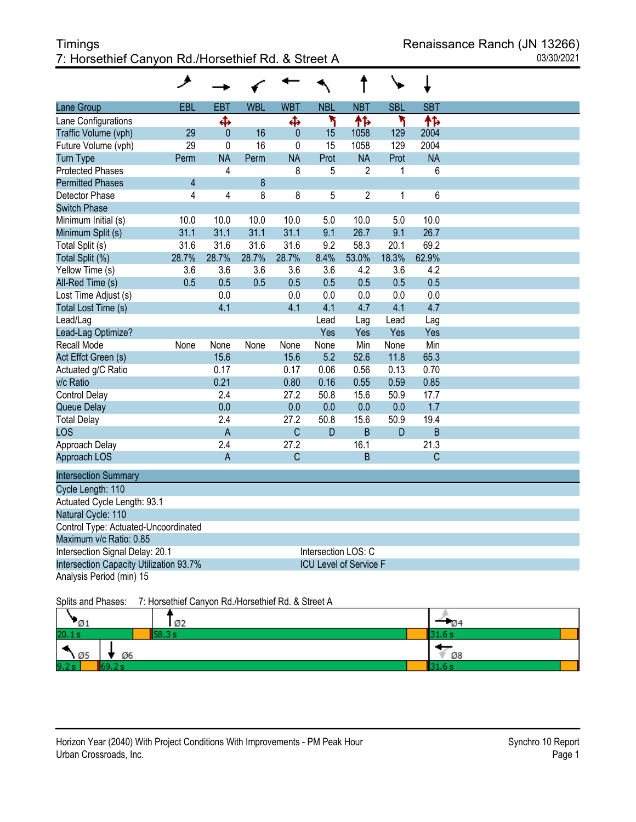# Timings **The Europe Contract Contract Contract Contract Contract Contract Contract Contract Contract Contract Contract Contract Contract Contract Contract Contract Contract Contract Contract Contract Contract Contract Cont** 7: Horsethief Canyon Rd./Horsethief Rd. & Street A 03/30/2021

|                                         | ᢣ     |                         |            |              |            |                               |            |              |  |
|-----------------------------------------|-------|-------------------------|------------|--------------|------------|-------------------------------|------------|--------------|--|
| Lane Group                              | EBL   | <b>EBT</b>              | <b>WBL</b> | <b>WBT</b>   | <b>NBL</b> | <b>NBT</b>                    | <b>SBL</b> | <b>SBT</b>   |  |
| Lane Configurations                     |       | Ф                       |            | Ф            | ۲          | ተኈ                            | ۲          | ቶኈ           |  |
| Traffic Volume (vph)                    | 29    | $\mathbf 0$             | 16         | $\mathbf{0}$ | 15         | 1058                          | 129        | 2004         |  |
| Future Volume (vph)                     | 29    | 0                       | 16         | 0            | 15         | 1058                          | 129        | 2004         |  |
| <b>Turn Type</b>                        | Perm  | <b>NA</b>               | Perm       | <b>NA</b>    | Prot       | <b>NA</b>                     | Prot       | <b>NA</b>    |  |
| <b>Protected Phases</b>                 |       | 4                       |            | 8            | 5          | $\overline{2}$                | 1          | 6            |  |
| <b>Permitted Phases</b>                 | 4     |                         | 8          |              |            |                               |            |              |  |
| Detector Phase                          | 4     | $\overline{\mathbf{4}}$ | 8          | 8            | 5          | $\overline{2}$                | 1          | 6            |  |
| <b>Switch Phase</b>                     |       |                         |            |              |            |                               |            |              |  |
| Minimum Initial (s)                     | 10.0  | 10.0                    | 10.0       | 10.0         | 5.0        | 10.0                          | 5.0        | 10.0         |  |
| Minimum Split (s)                       | 31.1  | 31.1                    | 31.1       | 31.1         | 9.1        | 26.7                          | 9.1        | 26.7         |  |
| Total Split (s)                         | 31.6  | 31.6                    | 31.6       | 31.6         | 9.2        | 58.3                          | 20.1       | 69.2         |  |
| Total Split (%)                         | 28.7% | 28.7%                   | 28.7%      | 28.7%        | 8.4%       | 53.0%                         | 18.3%      | 62.9%        |  |
| Yellow Time (s)                         | 3.6   | 3.6                     | 3.6        | 3.6          | 3.6        | 4.2                           | 3.6        | 4.2          |  |
| All-Red Time (s)                        | 0.5   | 0.5                     | 0.5        | 0.5          | 0.5        | 0.5                           | 0.5        | 0.5          |  |
| Lost Time Adjust (s)                    |       | 0.0                     |            | 0.0          | 0.0        | 0.0                           | 0.0        | 0.0          |  |
| Total Lost Time (s)                     |       | 4.1                     |            | 4.1          | 4.1        | 4.7                           | 4.1        | 4.7          |  |
| Lead/Lag                                |       |                         |            |              | Lead       | Lag                           | Lead       | Lag          |  |
| Lead-Lag Optimize?                      |       |                         |            |              | Yes        | Yes                           | Yes        | Yes          |  |
| Recall Mode                             | None  | None                    | None       | None         | None       | Min                           | None       | Min          |  |
| Act Effct Green (s)                     |       | 15.6                    |            | 15.6         | 5.2        | 52.6                          | 11.8       | 65.3         |  |
| Actuated g/C Ratio                      |       | 0.17                    |            | 0.17         | 0.06       | 0.56                          | 0.13       | 0.70         |  |
| v/c Ratio                               |       | 0.21                    |            | 0.80         | 0.16       | 0.55                          | 0.59       | 0.85         |  |
| Control Delay                           |       | 2.4                     |            | 27.2         | 50.8       | 15.6                          | 50.9       | 17.7         |  |
| Queue Delay                             |       | 0.0                     |            | 0.0          | 0.0        | 0.0                           | 0.0        | 1.7          |  |
| <b>Total Delay</b>                      |       | 2.4                     |            | 27.2         | 50.8       | 15.6                          | 50.9       | 19.4         |  |
| LOS                                     |       | $\mathsf A$             |            | $\mathsf{C}$ | D          | $\mathsf B$                   | D          | $\mathsf B$  |  |
| Approach Delay                          |       | 2.4                     |            | 27.2         |            | 16.1                          |            | 21.3         |  |
| Approach LOS                            |       | $\overline{A}$          |            | $\mathsf{C}$ |            | $\overline{B}$                |            | $\mathsf{C}$ |  |
| <b>Intersection Summary</b>             |       |                         |            |              |            |                               |            |              |  |
| Cycle Length: 110                       |       |                         |            |              |            |                               |            |              |  |
| Actuated Cycle Length: 93.1             |       |                         |            |              |            |                               |            |              |  |
| Natural Cycle: 110                      |       |                         |            |              |            |                               |            |              |  |
| Control Type: Actuated-Uncoordinated    |       |                         |            |              |            |                               |            |              |  |
| Maximum v/c Ratio: 0.85                 |       |                         |            |              |            |                               |            |              |  |
| Intersection Signal Delay: 20.1         |       |                         |            |              |            | Intersection LOS: C           |            |              |  |
| Intersection Capacity Utilization 93.7% |       |                         |            |              |            | <b>ICU Level of Service F</b> |            |              |  |
| Analysis Period (min) 15                |       |                         |            |              |            |                               |            |              |  |

Splits and Phases: 7: Horsethief Canyon Rd./Horsethief Rd. & Street A

| "Ø1                        | Ø2 | $\sqrt{94}$ |
|----------------------------|----|-------------|
| 20.1 s                     |    |             |
| $\ddot{\phantom{1}}$<br>05 | Ø6 | Ø8          |
| 9.2 s                      |    |             |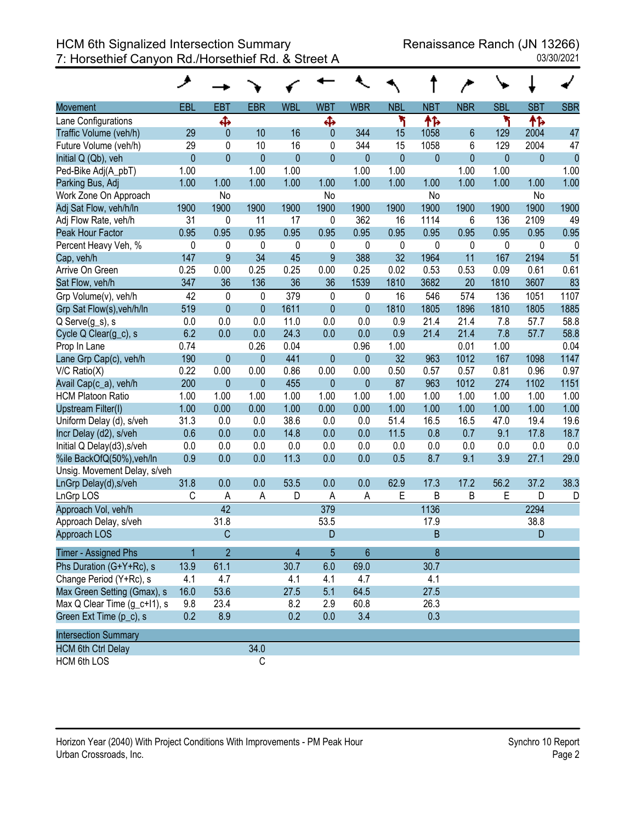| 03/30/2021 |  |
|------------|--|
|            |  |

|                              | ۶            |                |              |              |                  |              |              |              |                |            |            |            |
|------------------------------|--------------|----------------|--------------|--------------|------------------|--------------|--------------|--------------|----------------|------------|------------|------------|
| <b>Movement</b>              | EBL          | EBT            | <b>EBR</b>   | <b>WBL</b>   | <b>WBT</b>       | <b>WBR</b>   | <b>NBL</b>   | <b>NBT</b>   | <b>NBR</b>     | <b>SBL</b> | <b>SBT</b> | <b>SBR</b> |
| Lane Configurations          |              | ф              |              |              | Ф                |              | ۲            | 怍            |                | ۲          | 怍          |            |
| Traffic Volume (veh/h)       | 29           | $\mathbf{0}$   | 10           | 16           | $\mathbf{0}$     | 344          | 15           | 1058         | $6\phantom{1}$ | 129        | 2004       | 47         |
| Future Volume (veh/h)        | 29           | 0              | 10           | 16           | 0                | 344          | 15           | 1058         | 6              | 129        | 2004       | 47         |
| Initial Q (Qb), veh          | $\mathbf{0}$ | $\mathbf{0}$   | $\mathbf{0}$ | $\mathbf{0}$ | $\mathbf{0}$     | $\pmb{0}$    | $\mathbf{0}$ | $\mathbf 0$  | $\mathbf 0$    | $\bf 0$    | $\pmb{0}$  | $\theta$   |
| Ped-Bike Adj(A_pbT)          | 1.00         |                | 1.00         | 1.00         |                  | 1.00         | 1.00         |              | 1.00           | 1.00       |            | 1.00       |
| Parking Bus, Adj             | 1.00         | 1.00           | 1.00         | 1.00         | 1.00             | 1.00         | 1.00         | 1.00         | 1.00           | 1.00       | 1.00       | 1.00       |
| Work Zone On Approach        |              | No             |              |              | No               |              |              | <b>No</b>    |                |            | No         |            |
| Adj Sat Flow, veh/h/ln       | 1900         | 1900           | 1900         | 1900         | 1900             | 1900         | 1900         | 1900         | 1900           | 1900       | 1900       | 1900       |
| Adj Flow Rate, veh/h         | 31           | 0              | 11           | 17           | 0                | 362          | 16           | 1114         | 6              | 136        | 2109       | 49         |
| Peak Hour Factor             | 0.95         | 0.95           | 0.95         | 0.95         | 0.95             | 0.95         | 0.95         | 0.95         | 0.95           | 0.95       | 0.95       | 0.95       |
| Percent Heavy Veh, %         | 0            | 0              | $\mathbf 0$  | 0            | 0                | 0            | 0            | $\mathbf 0$  | 0              | 0          | 0          | 0          |
| Cap, veh/h                   | 147          | 9              | 34           | 45           | $\boldsymbol{9}$ | 388          | 32           | 1964         | 11             | 167        | 2194       | 51         |
| Arrive On Green              | 0.25         | 0.00           | 0.25         | 0.25         | 0.00             | 0.25         | 0.02         | 0.53         | 0.53           | 0.09       | 0.61       | 0.61       |
| Sat Flow, veh/h              | 347          | 36             | 136          | 36           | 36               | 1539         | 1810         | 3682         | 20             | 1810       | 3607       | 83         |
| Grp Volume(v), veh/h         | 42           | $\pmb{0}$      | 0            | 379          | $\mathbf 0$      | 0            | 16           | 546          | 574            | 136        | 1051       | 1107       |
| Grp Sat Flow(s), veh/h/ln    | 519          | $\mathbf{0}$   | $\mathbf{0}$ | 1611         | $\mathbf{0}$     | $\mathbf{0}$ | 1810         | 1805         | 1896           | 1810       | 1805       | 1885       |
| Q Serve(g_s), s              | 0.0          | 0.0            | 0.0          | 11.0         | 0.0              | 0.0          | 0.9          | 21.4         | 21.4           | 7.8        | 57.7       | 58.8       |
| Cycle Q Clear(g_c), s        | 6.2          | 0.0            | 0.0          | 24.3         | 0.0              | 0.0          | 0.9          | 21.4         | 21.4           | 7.8        | 57.7       | 58.8       |
| Prop In Lane                 | 0.74         |                | 0.26         | 0.04         |                  | 0.96         | 1.00         |              | 0.01           | 1.00       |            | 0.04       |
| Lane Grp Cap(c), veh/h       | 190          | $\mathbf{0}$   | $\pmb{0}$    | 441          | $\mathbf{0}$     | $\mathbf{0}$ | 32           | 963          | 1012           | 167        | 1098       | 1147       |
| $V/C$ Ratio $(X)$            | 0.22         | 0.00           | 0.00         | 0.86         | 0.00             | 0.00         | 0.50         | 0.57         | 0.57           | 0.81       | 0.96       | 0.97       |
| Avail Cap(c_a), veh/h        | 200          | $\mathbf{0}$   | $\mathbf{0}$ | 455          | $\mathbf{0}$     | $\mathbf{0}$ | 87           | 963          | 1012           | 274        | 1102       | 1151       |
| <b>HCM Platoon Ratio</b>     | 1.00         | 1.00           | 1.00         | 1.00         | 1.00             | 1.00         | 1.00         | 1.00         | 1.00           | 1.00       | 1.00       | 1.00       |
| Upstream Filter(I)           | 1.00         | 0.00           | 0.00         | 1.00         | 0.00             | 0.00         | 1.00         | 1.00         | 1.00           | 1.00       | 1.00       | 1.00       |
| Uniform Delay (d), s/veh     | 31.3         | 0.0            | 0.0          | 38.6         | 0.0              | 0.0          | 51.4         | 16.5         | 16.5           | 47.0       | 19.4       | 19.6       |
| Incr Delay (d2), s/veh       | 0.6          | 0.0            | 0.0          | 14.8         | 0.0              | 0.0          | 11.5         | 0.8          | 0.7            | 9.1        | 17.8       | 18.7       |
| Initial Q Delay(d3), s/veh   | 0.0          | 0.0            | 0.0          | 0.0          | 0.0              | 0.0          | 0.0          | 0.0          | 0.0            | 0.0        | 0.0        | 0.0        |
| %ile BackOfQ(50%), veh/ln    | 0.9          | 0.0            | 0.0          | 11.3         | 0.0              | 0.0          | 0.5          | 8.7          | 9.1            | 3.9        | 27.1       | 29.0       |
| Unsig. Movement Delay, s/veh |              |                |              |              |                  |              |              |              |                |            |            |            |
| LnGrp Delay(d), s/veh        | 31.8         | 0.0            | 0.0          | 53.5         | 0.0              | 0.0          | 62.9         | 17.3         | 17.2           | 56.2       | 37.2       | 38.3       |
| LnGrp LOS                    | C            | A              | A            | D            | Α                | A            | Ε            | B            | B              | Ε          | D          | D          |
| Approach Vol, veh/h          |              | 42             |              |              | 379              |              |              | 1136         |                |            | 2294       |            |
| Approach Delay, s/veh        |              | 31.8           |              |              | 53.5             |              |              | 17.9         |                |            | 38.8       |            |
| Approach LOS                 |              | $\mathsf{C}$   |              |              | D                |              |              | <sub>R</sub> |                |            | D          |            |
| Timer - Assigned Phs         |              | $\overline{2}$ |              | 4            | 5                | 6            |              | 8            |                |            |            |            |
| Phs Duration (G+Y+Rc), s     | 13.9         | 61.1           |              | 30.7         | 6.0              | 69.0         |              | 30.7         |                |            |            |            |
| Change Period (Y+Rc), s      | 4.1          | 4.7            |              | 4.1          | 4.1              | 4.7          |              | 4.1          |                |            |            |            |
| Max Green Setting (Gmax), s  | 16.0         | 53.6           |              | 27.5         | 5.1              | 64.5         |              | 27.5         |                |            |            |            |
| Max Q Clear Time (g_c+l1), s | 9.8          | 23.4           |              | 8.2          | 2.9              | 60.8         |              | 26.3         |                |            |            |            |
| Green Ext Time (p_c), s      | 0.2          | 8.9            |              | 0.2          | 0.0              | 3.4          |              | 0.3          |                |            |            |            |
| <b>Intersection Summary</b>  |              |                |              |              |                  |              |              |              |                |            |            |            |
| <b>HCM 6th Ctrl Delay</b>    |              |                | 34.0         |              |                  |              |              |              |                |            |            |            |
| <b>HCM 6th LOS</b>           |              |                | C            |              |                  |              |              |              |                |            |            |            |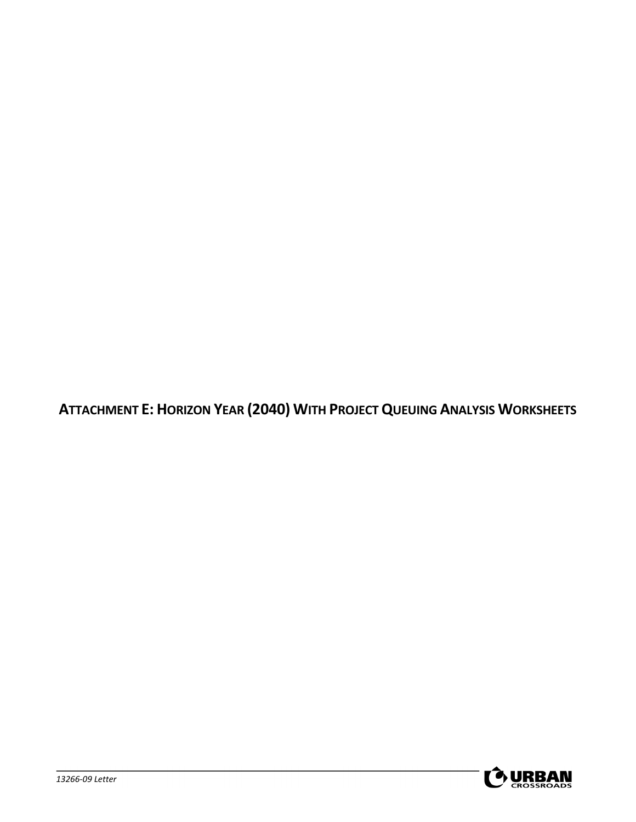**ATTACHMENT E: HORIZON YEAR (2040) WITH PROJECT QUEUING ANALYSIS WORKSHEETS**

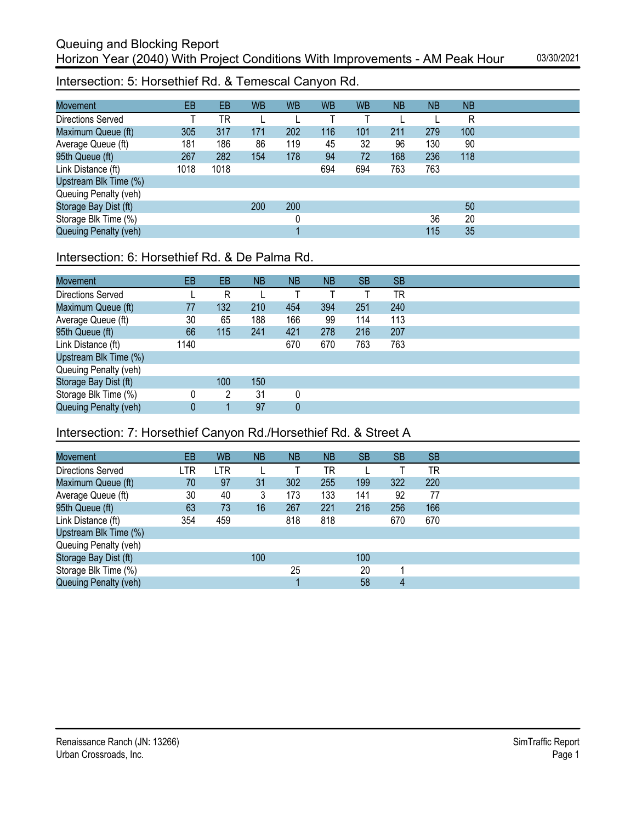Intersection: 5: Horsethief Rd. & Temescal Canyon Rd.

| <b>Movement</b>       | EB   | EB   | <b>WB</b> | <b>WB</b> | <b>WB</b> | <b>WB</b> | <b>NB</b> | <b>NB</b> | <b>NB</b> |
|-----------------------|------|------|-----------|-----------|-----------|-----------|-----------|-----------|-----------|
| Directions Served     |      | TR   |           |           |           |           |           |           | R         |
| Maximum Queue (ft)    | 305  | 317  | 171       | 202       | 116       | 101       | 211       | 279       | 100       |
| Average Queue (ft)    | 181  | 186  | 86        | 119       | 45        | 32        | 96        | 130       | 90        |
| 95th Queue (ft)       | 267  | 282  | 154       | 178       | 94        | 72        | 168       | 236       | 118       |
| Link Distance (ft)    | 1018 | 1018 |           |           | 694       | 694       | 763       | 763       |           |
| Upstream Blk Time (%) |      |      |           |           |           |           |           |           |           |
| Queuing Penalty (veh) |      |      |           |           |           |           |           |           |           |
| Storage Bay Dist (ft) |      |      | 200       | 200       |           |           |           |           | 50        |
| Storage Blk Time (%)  |      |      |           | 0         |           |           |           | 36        | 20        |
| Queuing Penalty (veh) |      |      |           |           |           |           |           | 115       | 35        |

# Intersection: 6: Horsethief Rd. & De Palma Rd.

| <b>Movement</b>       | EB   | EB  | <b>NB</b> | <b>NB</b>   | <b>NB</b> | <b>SB</b> | <b>SB</b> |
|-----------------------|------|-----|-----------|-------------|-----------|-----------|-----------|
| Directions Served     |      | R   |           |             |           |           | ΤR        |
| Maximum Queue (ft)    | 77   | 132 | 210       | 454         | 394       | 251       | 240       |
| Average Queue (ft)    | 30   | 65  | 188       | 166         | 99        | 114       | 113       |
| 95th Queue (ft)       | 66   | 115 | 241       | 421         | 278       | 216       | 207       |
| Link Distance (ft)    | 1140 |     |           | 670         | 670       | 763       | 763       |
| Upstream Blk Time (%) |      |     |           |             |           |           |           |
| Queuing Penalty (veh) |      |     |           |             |           |           |           |
| Storage Bay Dist (ft) |      | 100 | 150       |             |           |           |           |
| Storage Blk Time (%)  |      | 2   | 31        | 0           |           |           |           |
| Queuing Penalty (veh) | 0    |     | 97        | $\mathbf 0$ |           |           |           |

# Intersection: 7: Horsethief Canyon Rd./Horsethief Rd. & Street A

| <b>Movement</b>          | EB  | <b>WB</b> | ΝB  | <b>NB</b> | <b>NB</b> | <b>SB</b> | <b>SB</b> | <b>SB</b> |
|--------------------------|-----|-----------|-----|-----------|-----------|-----------|-----------|-----------|
| <b>Directions Served</b> | LTR | LTR       |     |           | TR        |           |           | TR        |
| Maximum Queue (ft)       | 70  | 97        | 31  | 302       | 255       | 199       | 322       | 220       |
| Average Queue (ft)       | 30  | 40        | 3   | 173       | 133       | 141       | 92        | 77        |
| 95th Queue (ft)          | 63  | 73        | 16  | 267       | 221       | 216       | 256       | 166       |
| Link Distance (ft)       | 354 | 459       |     | 818       | 818       |           | 670       | 670       |
| Upstream Blk Time (%)    |     |           |     |           |           |           |           |           |
| Queuing Penalty (veh)    |     |           |     |           |           |           |           |           |
| Storage Bay Dist (ft)    |     |           | 100 |           |           | 100       |           |           |
| Storage Blk Time (%)     |     |           |     | 25        |           | 20        |           |           |
| Queuing Penalty (veh)    |     |           |     |           |           | 58        | 4         |           |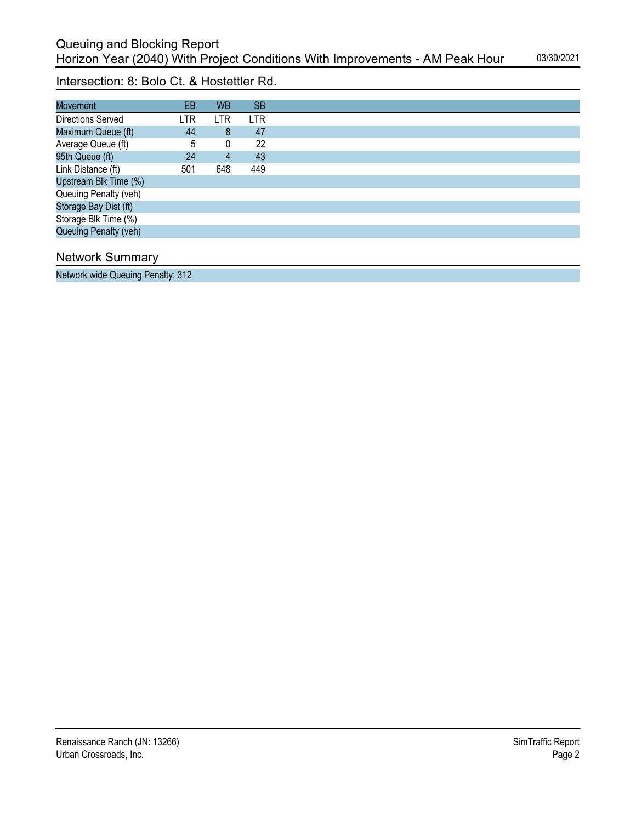Intersection: 8: Bolo Ct. & Hostettler Rd.

| <b>Movement</b>       | EB  | <b>WB</b> | <b>SB</b> |
|-----------------------|-----|-----------|-----------|
| Directions Served     | LTR | LTR       | LTR       |
| Maximum Queue (ft)    | 44  | 8         | 47        |
| Average Queue (ft)    | 5   | 0         | 22        |
| 95th Queue (ft)       | 24  | 4         | 43        |
| Link Distance (ft)    | 501 | 648       | 449       |
| Upstream Blk Time (%) |     |           |           |
| Queuing Penalty (veh) |     |           |           |
| Storage Bay Dist (ft) |     |           |           |
| Storage Blk Time (%)  |     |           |           |
| Queuing Penalty (veh) |     |           |           |
|                       |     |           |           |

## Network Summary

Network wide Queuing Penalty: 312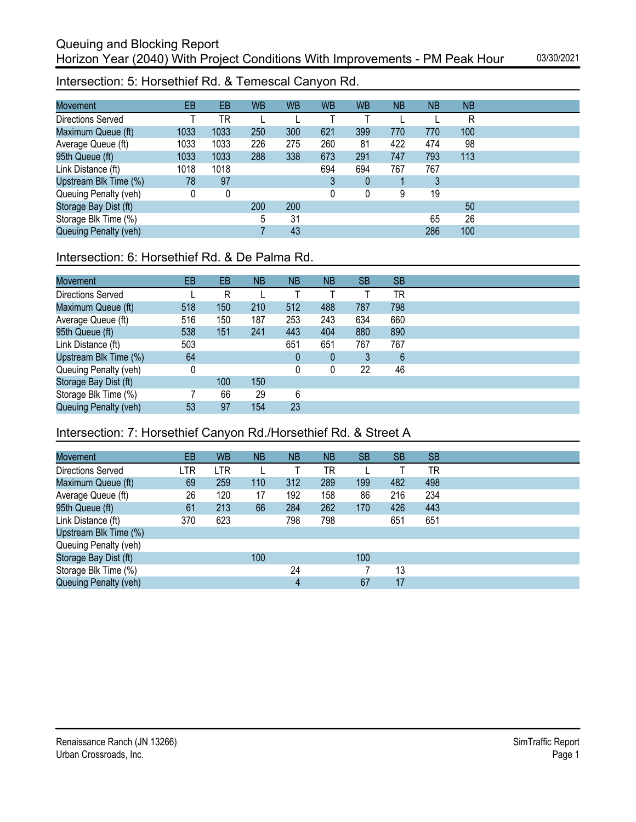Intersection: 5: Horsethief Rd. & Temescal Canyon Rd.

| <b>Movement</b>       | EB   | EB   | <b>WB</b> | <b>WB</b> | <b>WB</b> | <b>WB</b>   | <b>NB</b> | <b>NB</b> | <b>NB</b> |
|-----------------------|------|------|-----------|-----------|-----------|-------------|-----------|-----------|-----------|
| Directions Served     |      | TR   |           |           |           |             |           |           | R         |
| Maximum Queue (ft)    | 1033 | 1033 | 250       | 300       | 621       | 399         | 770       | 770       | 100       |
| Average Queue (ft)    | 1033 | 1033 | 226       | 275       | 260       | 81          | 422       | 474       | 98        |
| 95th Queue (ft)       | 1033 | 1033 | 288       | 338       | 673       | 291         | 747       | 793       | 113       |
| Link Distance (ft)    | 1018 | 1018 |           |           | 694       | 694         | 767       | 767       |           |
| Upstream Blk Time (%) | 78   | 97   |           |           | 3         | $\mathbf 0$ |           | 3         |           |
| Queuing Penalty (veh) | 0    | 0    |           |           | 0         | 0           | 9         | 19        |           |
| Storage Bay Dist (ft) |      |      | 200       | 200       |           |             |           |           | 50        |
| Storage Blk Time (%)  |      |      | 5         | 31        |           |             |           | 65        | 26        |
| Queuing Penalty (veh) |      |      |           | 43        |           |             |           | 286       | 100       |

# Intersection: 6: Horsethief Rd. & De Palma Rd.

| <b>Movement</b>       | EB       | EB  | <b>NB</b> | <b>NB</b> | <b>NB</b> | <b>SB</b> | <b>SB</b> |
|-----------------------|----------|-----|-----------|-----------|-----------|-----------|-----------|
| Directions Served     |          | R   |           |           |           |           | <b>TR</b> |
| Maximum Queue (ft)    | 518      | 150 | 210       | 512       | 488       | 787       | 798       |
| Average Queue (ft)    | 516      | 150 | 187       | 253       | 243       | 634       | 660       |
| 95th Queue (ft)       | 538      | 151 | 241       | 443       | 404       | 880       | 890       |
| Link Distance (ft)    | 503      |     |           | 651       | 651       | 767       | 767       |
| Upstream Blk Time (%) | 64       |     |           | 0         | 0         | 3         | 6         |
| Queuing Penalty (veh) | $\Omega$ |     |           | 0         |           | 22        | 46        |
| Storage Bay Dist (ft) |          | 100 | 150       |           |           |           |           |
| Storage Blk Time (%)  |          | 66  | 29        | 6         |           |           |           |
| Queuing Penalty (veh) | 53       | 97  | 154       | 23        |           |           |           |

# Intersection: 7: Horsethief Canyon Rd./Horsethief Rd. & Street A

| <b>Movement</b>          | EB  | <b>WB</b> | ΝB  | <b>NB</b> | <b>NB</b> | <b>SB</b> | <b>SB</b> | <b>SB</b> |
|--------------------------|-----|-----------|-----|-----------|-----------|-----------|-----------|-----------|
| <b>Directions Served</b> | LTR | LTR       |     |           | TR        |           |           | TR        |
| Maximum Queue (ft)       | 69  | 259       | 110 | 312       | 289       | 199       | 482       | 498       |
| Average Queue (ft)       | 26  | 120       | 17  | 192       | 158       | 86        | 216       | 234       |
| 95th Queue (ft)          | 61  | 213       | 66  | 284       | 262       | 170       | 426       | 443       |
| Link Distance (ft)       | 370 | 623       |     | 798       | 798       |           | 651       | 651       |
| Upstream Blk Time (%)    |     |           |     |           |           |           |           |           |
| Queuing Penalty (veh)    |     |           |     |           |           |           |           |           |
| Storage Bay Dist (ft)    |     |           | 100 |           |           | 100       |           |           |
| Storage Blk Time (%)     |     |           |     | 24        |           |           | 13        |           |
| Queuing Penalty (veh)    |     |           |     | 4         |           | 67        | 17        |           |